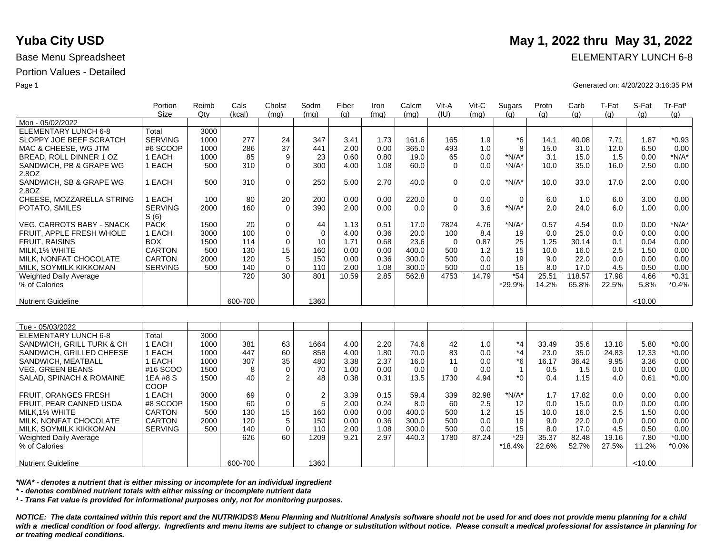Weighted Daily Average

% of Calories

Nutrient Guideline

Portion Values - Detailed

|                                  | Portion        | Reimb | Cals    | Cholst      | Sodm                    | Fiber | Iron | Calcm | Vit-A       | Vit-C | Sugars       | Protn | Carb   | T-Fat | S-Fat   | Tr-Fat <sup>1</sup> |
|----------------------------------|----------------|-------|---------|-------------|-------------------------|-------|------|-------|-------------|-------|--------------|-------|--------|-------|---------|---------------------|
|                                  | <b>Size</b>    | Qty   | (kcal)  | (mq)        | (mq)                    | (q)   | (mq) | (mq)  | (IU)        | (mq)  | (a)          | (q)   | (q)    | (q)   | (q)     | (g)                 |
| Mon - 05/02/2022                 |                |       |         |             |                         |       |      |       |             |       |              |       |        |       |         |                     |
| <b>ELEMENTARY LUNCH 6-8</b>      | Total          | 3000  |         |             |                         |       |      |       |             |       |              |       |        |       |         |                     |
| SLOPPY JOE BEEF SCRATCH          | <b>SERVING</b> | 1000  | 277     | 24          | 347                     | 3.41  | 1.73 | 161.6 | 165         | 1.9   | *6           | 14.1  | 40.08  | 7.71  | 1.87    | $*0.93$             |
| MAC & CHEESE, WG JTM             | #6 SCOOP       | 1000  | 286     | 37          | 441                     | 2.00  | 0.00 | 365.0 | 493         | 1.0   | 8            | 15.0  | 31.0   | 12.0  | 6.50    | 0.00                |
| BREAD, ROLL DINNER 1 OZ          | 1 EACH         | 1000  | 85      | 9           | 23                      | 0.60  | 0.80 | 19.0  | 65          | 0.0   | $*N/A*$      | 3.1   | 15.0   | 1.5   | 0.00    | $*N/A*$             |
| SANDWICH, PB & GRAPE WG<br>2.80Z | 1 EACH         | 500   | 310     | $\Omega$    | 300                     | 4.00  | 1.08 | 60.0  | $\Omega$    | 0.0   | $*N/A*$      | 10.0  | 35.0   | 16.0  | 2.50    | 0.00                |
| SANDWICH, SB & GRAPE WG<br>2.8OZ | 1 EACH         | 500   | 310     | $\mathbf 0$ | 250                     | 5.00  | 2.70 | 40.0  | $\Omega$    | 0.0   | $*N/A*$      | 10.0  | 33.0   | 17.0  | 2.00    | 0.00                |
| CHEESE, MOZZARELLA STRING        | 1 EACH         | 100   | 80      | 20          | 200                     | 0.00  | 0.00 | 220.0 | $\mathbf 0$ | 0.0   | 0            | 6.0   | 1.0    | 6.0   | 3.00    | 0.00                |
| POTATO, SMILES                   | <b>SERVING</b> | 2000  | 160     | $\Omega$    | 390                     | 2.00  | 0.00 | 0.0   | $\Omega$    | 3.6   | $*N/A*$      | 2.0   | 24.0   | 6.0   | 1.00    | 0.00                |
|                                  | S(6)           |       |         |             |                         |       |      |       |             |       |              |       |        |       |         |                     |
| <b>VEG, CARROTS BABY - SNACK</b> | <b>PACK</b>    | 1500  | 20      | 0           | 44                      | 1.13  | 0.51 | 17.0  | 7824        | 4.76  | $*N/A*$      | 0.57  | 4.54   | 0.0   | 0.00    | $*N/A*$             |
| FRUIT, APPLE FRESH WHOLE         | 1 EACH         | 3000  | 100     | 0           | $\mathbf 0$             | 4.00  | 0.36 | 20.0  | 100         | 8.4   | 19           | 0.0   | 25.0   | 0.0   | 0.00    | 0.00                |
| <b>FRUIT, RAISINS</b>            | <b>BOX</b>     | 1500  | 114     | $\mathbf 0$ | 10                      | 1.71  | 0.68 | 23.6  | $\mathbf 0$ | 0.87  | 25           | 1.25  | 30.14  | 0.1   | 0.04    | 0.00                |
| MILK, 1% WHITE                   | <b>CARTON</b>  | 500   | 130     | 15          | 160                     | 0.00  | 0.00 | 400.0 | 500         | 1.2   | 15           | 10.0  | 16.0   | 2.5   | 1.50    | 0.00                |
| MILK, NONFAT CHOCOLATE           | <b>CARTON</b>  | 2000  | 120     | 5           | 150                     | 0.00  | 0.36 | 300.0 | 500         | 0.0   | 19           | 9.0   | 22.0   | 0.0   | 0.00    | 0.00                |
| MILK, SOYMILK KIKKOMAN           | <b>SERVING</b> | 500   | 140     | 0           | 110                     | 2.00  | 1.08 | 300.0 | 500         | 0.0   | 15           | 8.0   | 17.0   | 4.5   | 0.50    | 0.00                |
| <b>Weighted Daily Average</b>    |                |       | 720     | 30          | 801                     | 10.59 | 2.85 | 562.8 | 4753        | 14.79 | $*54$        | 25.51 | 118.57 | 17.98 | 4.66    | $*0.31$             |
| % of Calories                    |                |       |         |             |                         |       |      |       |             |       | *29.9%       | 14.2% | 65.8%  | 22.5% | 5.8%    | $*0.4%$             |
|                                  |                |       |         |             |                         |       |      |       |             |       |              |       |        |       |         |                     |
| <b>Nutrient Guideline</b>        |                |       | 600-700 |             | 1360                    |       |      |       |             |       |              |       |        |       | < 10.00 |                     |
|                                  |                |       |         |             |                         |       |      |       |             |       |              |       |        |       |         |                     |
| Tue - 05/03/2022                 |                |       |         |             |                         |       |      |       |             |       |              |       |        |       |         |                     |
| <b>ELEMENTARY LUNCH 6-8</b>      | Total          | 3000  |         |             |                         |       |      |       |             |       |              |       |        |       |         |                     |
| SANDWICH, GRILL TURK & CH        | 1 EACH         | 1000  | 381     | 63          | 1664                    | 4.00  | 2.20 | 74.6  | 42          | 1.0   | $*_{4}$      | 33.49 | 35.6   | 13.18 | 5.80    | $*0.00$             |
| SANDWICH, GRILLED CHEESE         | 1 EACH         | 1000  | 447     | 60          | 858                     | 4.00  | 1.80 | 70.0  | 83          | 0.0   | $*_{4}$      | 23.0  | 35.0   | 24.83 | 12.33   | $*0.00$             |
| SANDWICH, MEATBALL               | 1 EACH         | 1000  | 307     | 35          | 480                     | 3.38  | 2.37 | 16.0  | 11          | 0.0   | $^*6$        | 16.17 | 36.42  | 9.95  | 3.36    | 0.00                |
| <b>VEG, GREEN BEANS</b>          | #16 SCOO       | 1500  | 8       | $\Omega$    | 70                      | 1.00  | 0.00 | 0.0   | $\Omega$    | 0.0   | $\mathbf{1}$ | 0.5   | 1.5    | 0.0   | 0.00    | 0.00                |
| SALAD, SPINACH & ROMAINE         | 1EA #8 S       | 1500  | 40      | 2           | 48                      | 0.38  | 0.31 | 13.5  | 1730        | 4.94  | $*$ 0        | 0.4   | 1.15   | 4.0   | 0.61    | $*0.00$             |
|                                  | COOP           |       |         |             |                         |       |      |       |             |       |              |       |        |       |         |                     |
| FRUIT, ORANGES FRESH             | 1 EACH         | 3000  | 69      | 0           | $\overline{\mathbf{c}}$ | 3.39  | 0.15 | 59.4  | 339         | 82.98 | $*N/A*$      | 1.7   | 17.82  | 0.0   | 0.00    | 0.00                |
| FRUIT, PEAR CANNED USDA          | #8 SCOOP       | 1500  | 60      | $\mathbf 0$ | 5                       | 2.00  | 0.24 | 8.0   | 60          | 2.5   | 12           | 0.0   | 15.0   | 0.0   | 0.00    | 0.00                |
| MILK, 1% WHITE                   | <b>CARTON</b>  | 500   | 130     | 15          | 160                     | 0.00  | 0.00 | 400.0 | 500         | 1.2   | 15           | 10.0  | 16.0   | 2.5   | 1.50    | 0.00                |
| MILK, NONFAT CHOCOLATE           | <b>CARTON</b>  | 2000  | 120     | 5           | 150                     | 0.00  | 0.36 | 300.0 | 500         | 0.0   | 19           | 9.0   | 22.0   | 0.0   | 0.00    | 0.00                |
| MILK, SOYMILK KIKKOMAN           | <b>SERVING</b> | 500   | 140     | $\mathbf 0$ | 110                     | 2.00  | 1.08 | 300.0 | 500         | 0.0   | 15           | 8.0   | 17.0   | 4.5   | 0.50    | 0.00                |
| Weighted Daily Average           |                |       | 626     | 60          | 1209                    | 9.21  | 2.97 | 440.3 | 1780        | 87.24 | $*29$        | 35.37 | 82.48  | 19.16 | 7.80    | $*0.00$             |

*\*N/A\* - denotes a nutrient that is either missing or incomplete for an individual ingredient*

*\* - denotes combined nutrient totals with either missing or incomplete nutrient data*

*¹ - Trans Fat value is provided for informational purposes only, not for monitoring purposes.*

600-700

*NOTICE: The data contained within this report and the NUTRIKIDS® Menu Planning and Nutritional Analysis software should not be used for and does not provide menu planning for a child*  with a medical condition or food allergy. Ingredients and menu items are subject to change or substitution without notice. Please consult a medical professional for assistance in planning for *or treating medical conditions.*

9.21 2.97 440.3 1780 87.24 \*29

\*18.4%

35.37 22.6%

82.48 52.7%

19.16 27.5%

7.80 11.2% <10.00

\*0.00 \*0.0%

1360

## **Yuba City USD** May 1, 2022 thru May 31, 2022

Base Menu Spreadsheet **ELEMENTARY LUNCH 6-8** 

Page 1 Generated on: 4/20/2022 3:16:35 PM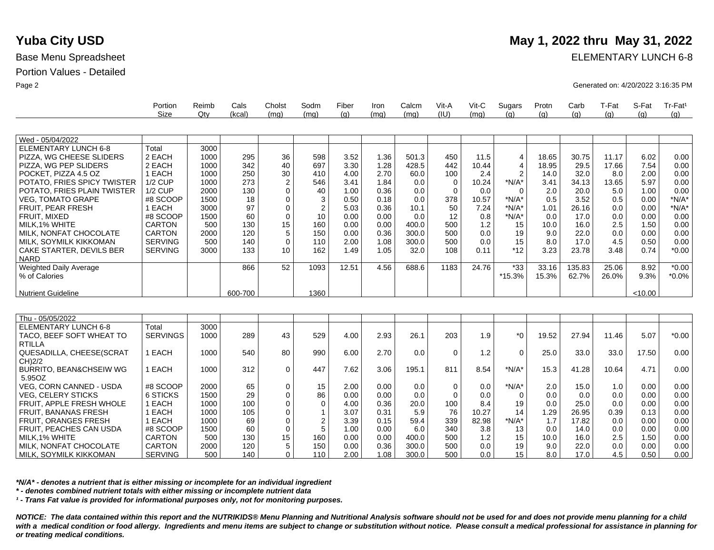Base Menu Spreadsheet **ELEMENTARY LUNCH 6-8** 

Page 2 Generated on: 4/20/2022 3:16:35 PM

|                             | Portion        | Reimb | Cals    | Cholst         | Sodm           | Fiber | Iron | Calcm | Vit-A       | $V$ it-C | Sugars         | Protn | Carb   | T-Fat | S-Fat   | Tr-Fat <sup>1</sup> |
|-----------------------------|----------------|-------|---------|----------------|----------------|-------|------|-------|-------------|----------|----------------|-------|--------|-------|---------|---------------------|
|                             | Size           | Qty   | (kcal)  | (mq)           | (mq)           | (g)   | (mq) | (mq)  | (IU)        | (mq)     | (q)            | (g)   | (g)    | (q)   | (a)     | (q)                 |
|                             |                |       |         |                |                |       |      |       |             |          |                |       |        |       |         |                     |
| Wed - 05/04/2022            |                |       |         |                |                |       |      |       |             |          |                |       |        |       |         |                     |
| <b>ELEMENTARY LUNCH 6-8</b> | Total          | 3000  |         |                |                |       |      |       |             |          |                |       |        |       |         |                     |
| PIZZA, WG CHEESE SLIDERS    | 2 EACH         | 1000  | 295     | 36             | 598            | 3.52  | 1.36 | 501.3 | 450         | 11.5     | 4              | 18.65 | 30.75  | 11.17 | 6.02    | 0.00                |
| PIZZA, WG PEP SLIDERS       | 2 EACH         | 1000  | 342     | 40             | 697            | 3.30  | 1.28 | 428.5 | 442         | 10.44    | $\overline{4}$ | 18.95 | 29.5   | 17.66 | 7.54    | 0.00                |
| POCKET, PIZZA 4.5 OZ        | EACH           | 1000  | 250     | 30             | 410            | 4.00  | 2.70 | 60.0  | 100         | 2.4      | 2              | 14.0  | 32.0   | 8.0   | 2.00    | 0.00                |
| POTATO, FRIES SPICY TWISTER | 1/2 CUP        | 1000  | 273     | $\overline{c}$ | 546            | 3.41  | 1.84 | 0.0   | $\mathbf 0$ | 10.24    | $*N/A*$        | 3.41  | 34.13  | 13.65 | 5.97    | 0.00                |
| POTATO, FRIES PLAIN TWISTER | $1/2$ CUP      | 2000  | 130     | $\mathbf{0}$   | 40             | 1.00  | 0.36 | 0.0   | $\mathbf 0$ | 0.0      |                | 2.0   | 20.0   | 5.0   | 1.00    | 0.00                |
| <b>VEG, TOMATO GRAPE</b>    | #8 SCOOP       | 1500  | 18      | $\mathbf 0$    | 3              | 0.50  | 0.18 | 0.0   | 378         | 10.57    | $*N/A*$        | 0.5   | 3.52   | 0.5   | 0.00    | $*N/A*$             |
| <b>FRUIT, PEAR FRESH</b>    | EACH           | 3000  | 97      | $\mathbf 0$    | $\overline{2}$ | 5.03  | 0.36 | 10.1  | 50          | 7.24     | $*N/A*$        | 1.01  | 26.16  | 0.0   | 0.00    | $*N/A*$             |
| FRUIT, MIXED                | #8 SCOOP       | 1500  | 60      | $\mathbf 0$    | 10             | 0.00  | 0.00 | 0.0   | 12          | 0.8      | $*N/A*$        | 0.0   | 17.0   | 0.0   | 0.00    | 0.00                |
| MILK.1% WHITE               | <b>CARTON</b>  | 500   | 130     | 15             | 160            | 0.00  | 0.00 | 400.0 | 500         | 1.2      | 15             | 10.0  | 16.0   | 2.5   | 1.50    | 0.00                |
| MILK, NONFAT CHOCOLATE      | <b>CARTON</b>  | 2000  | 120     | 5              | 150            | 0.00  | 0.36 | 300.0 | 500         | 0.0      | 19             | 9.0   | 22.0   | 0.0   | 0.00    | 0.00                |
| MILK, SOYMILK KIKKOMAN      | <b>SERVING</b> | 500   | 140     | $\mathbf 0$    | 110            | 2.00  | 1.08 | 300.0 | 500         | 0.0      | 15             | 8.0   | 17.0   | 4.5   | 0.50    | 0.00                |
| CAKE STARTER, DEVILS BER    | <b>SERVING</b> | 3000  | 133     | 10             | 162            | 1.49  | 1.05 | 32.0  | 108         | 0.11     | $*12$          | 3.23  | 23.78  | 3.48  | 0.74    | $*0.00$             |
| <b>NARD</b>                 |                |       |         |                |                |       |      |       |             |          |                |       |        |       |         |                     |
| Weighted Daily Average      |                |       | 866     | 52             | 1093           | 12.51 | 4.56 | 688.6 | 1183        | 24.76    | $*33$          | 33.16 | 135.83 | 25.06 | 8.92    | $*0.00$             |
| % of Calories               |                |       |         |                |                |       |      |       |             |          | *15.3%         | 15.3% | 62.7%  | 26.0% | 9.3%    | $*0.0\%$            |
|                             |                |       |         |                |                |       |      |       |             |          |                |       |        |       |         |                     |
| <b>Nutrient Guideline</b>   |                |       | 600-700 |                | 1360           |       |      |       |             |          |                |       |        |       | < 10.00 |                     |
|                             |                |       |         |                |                |       |      |       |             |          |                |       |        |       |         |                     |
|                             |                |       |         |                |                |       |      |       |             |          |                |       |        |       |         |                     |

| Thu - 05/05/2022                   |                 |      |     |                 |     |      |      |       |     |       |         |       |       |       |       |         |
|------------------------------------|-----------------|------|-----|-----------------|-----|------|------|-------|-----|-------|---------|-------|-------|-------|-------|---------|
| ELEMENTARY LUNCH 6-8               | Total           | 3000 |     |                 |     |      |      |       |     |       |         |       |       |       |       |         |
| TACO, BEEF SOFT WHEAT TO           | <b>SERVINGS</b> | 1000 | 289 | 43              | 529 | 4.00 | 2.93 | 26.1  | 203 | 1.9   | $*_{0}$ | 19.52 | 27.94 | 11.46 | 5.07  | $*0.00$ |
| <b>RTILLA</b>                      |                 |      |     |                 |     |      |      |       |     |       |         |       |       |       |       |         |
| QUESADILLA, CHEESE(SCRAT           | EACH            | 1000 | 540 | 80              | 990 | 6.00 | 2.70 | 0.0   | 0   | 1.2   | 0       | 25.0  | 33.0  | 33.0  | 17.50 | 0.00    |
| CH)2/2                             |                 |      |     |                 |     |      |      |       |     |       |         |       |       |       |       |         |
| <b>BURRITO, BEAN&amp;CHSEIW WG</b> | EACH            | 1000 | 312 | $\Omega$        | 447 | 7.62 | 3.06 | 195.1 | 811 | 8.54  | $*N/A*$ | 15.3  | 41.28 | 10.64 | 4.71  | 0.00    |
| 5.95OZ                             |                 |      |     |                 |     |      |      |       |     |       |         |       |       |       |       |         |
| <b>VEG. CORN CANNED - USDA</b>     | #8 SCOOP        | 2000 | 65  |                 | 15  | 2.00 | 0.00 | 0.0   | 0   | 0.0   | $*N/A*$ | 2.0   | 15.0  | 1.0   | 0.00  | 0.00    |
| <b>VEG. CELERY STICKS</b>          | 6 STICKS        | 1500 | 29  |                 | 86  | 0.00 | 0.00 | 0.0   | 0   | 0.0   |         | 0.0   | 0.0   | 0.0   | 0.00  | 0.00    |
| FRUIT. APPLE FRESH WHOLE           | EACH            | 1000 | 100 |                 |     | 4.00 | 0.36 | 20.0  | 100 | 8.4   | 19      | 0.0   | 25.0  | 0.0   | 0.00  | 0.00    |
| <b>FRUIT, BANANAS FRESH</b>        | EACH            | 1000 | 105 |                 |     | 3.07 | 0.31 | 5.9   | 76  | 10.27 | 14      | 1.29  | 26.95 | 0.39  | 0.13  | 0.00    |
| <b>FRUIT, ORANGES FRESH</b>        | EACH            | 1000 | 69  |                 |     | 3.39 | 0.15 | 59.4  | 339 | 82.98 | $*N/A*$ | 1.7   | 17.82 | 0.0   | 0.00  | 0.00    |
| FRUIT. PEACHES CAN USDA            | #8 SCOOP        | 1500 | 60  |                 |     | 1.00 | 0.00 | 6.0   | 340 | 3.8   | 13      | 0.0   | 14.0  | 0.0   | 0.00  | 0.00    |
| MILK.1% WHITE                      | <b>CARTON</b>   | 500  | 130 | 15 <sub>1</sub> | 160 | 0.00 | 0.00 | 400.0 | 500 | 1.2   | 15      | 10.0  | 16.0  | 2.5   | 1.50  | 0.00    |
| MILK, NONFAT CHOCOLATE             | CARTON          | 2000 | 120 |                 | 150 | 0.00 | 0.36 | 300.0 | 500 | 0.0   | 19      | 9.0   | 22.0  | 0.0   | 0.00  | 0.00    |
| MILK. SOYMILK KIKKOMAN             | <b>SERVING</b>  | 500  | 140 | 0 <sup>1</sup>  | 110 | 2.00 | 1.08 | 300.0 | 500 | 0.0   | 15      | 8.0   | 17.0  | 4.5   | 0.50  | 0.00    |

*\*N/A\* - denotes a nutrient that is either missing or incomplete for an individual ingredient*

*\* - denotes combined nutrient totals with either missing or incomplete nutrient data*

*¹ - Trans Fat value is provided for informational purposes only, not for monitoring purposes.*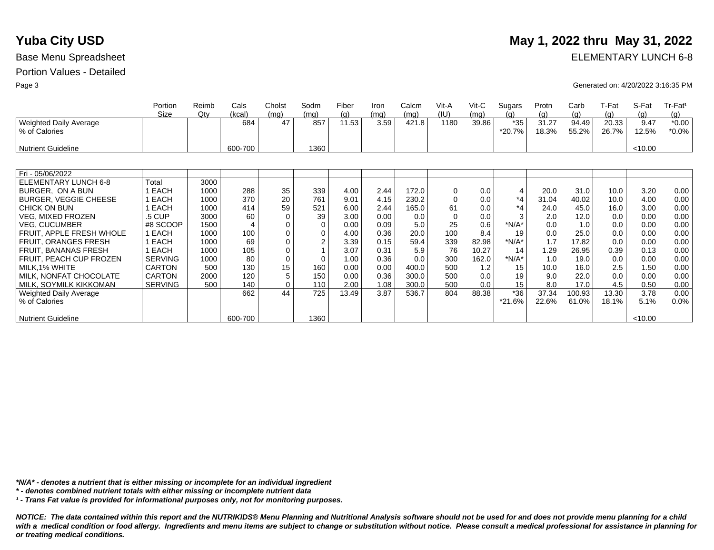# **Yuba City USD** May 1, 2022 thru May 31, 2022

Base Menu Spreadsheet **ELEMENTARY LUNCH 6-8** 

Page 3 Generated on: 4/20/2022 3:16:35 PM

|                                                | Portion        | Reimb | Cals    | Cholst      | Sodm        | Fiber | Iron | Calcm | Vit-A    | $V$ it-C | Sugars          | Protn          | Carb           | T-Fat          | S-Fat         | Tr-Fat <sup>1</sup> |
|------------------------------------------------|----------------|-------|---------|-------------|-------------|-------|------|-------|----------|----------|-----------------|----------------|----------------|----------------|---------------|---------------------|
|                                                | Size           | Qtv   | (kcal)  | (mq)        | (mq)        | (g)   | (mg) | (mq)  | (IU)     | (mg)     | (a)             | (g)            | (g)            | <u>(g)</u>     | (g)           | (g)                 |
| <b>Weighted Daily Average</b><br>% of Calories |                |       | 684     | 47          | 857         | 11.53 | 3.59 | 421.8 | 1180     | 39.86    | $*35$<br>*20.7% | 31.27<br>18.3% | 94.49<br>55.2% | 20.33<br>26.7% | 9.47<br>12.5% | $*0.00$<br>$*0.0\%$ |
| <b>Nutrient Guideline</b>                      |                |       | 600-700 |             | 1360        |       |      |       |          |          |                 |                |                |                | < 10.00       |                     |
|                                                |                |       |         |             |             |       |      |       |          |          |                 |                |                |                |               |                     |
| Fri - 05/06/2022                               |                |       |         |             |             |       |      |       |          |          |                 |                |                |                |               |                     |
| ELEMENTARY LUNCH 6-8                           | Total          | 3000  |         |             |             |       |      |       |          |          |                 |                |                |                |               |                     |
| BURGER, ON A BUN                               | 1 EACH         | 1000  | 288     | 35          | 339         | 4.00  | 2.44 | 172.0 | 0        | 0.0      | $\overline{4}$  | 20.0           | 31.0           | 10.0           | 3.20          | 0.00                |
| <b>BURGER, VEGGIE CHEESE</b>                   | 1 EACH         | 1000  | 370     | 20          | 761         | 9.01  | 4.15 | 230.2 | $\Omega$ | 0.0      | *4              | 31.04          | 40.02          | 10.0           | 4.00          | 0.00                |
| CHICK ON BUN                                   | 1 EACH         | 1000  | 414     | 59          | 521         | 6.00  | 2.44 | 165.0 | 61       | 0.0      | $*_{4}$         | 24.0           | 45.0           | 16.0           | 3.00          | 0.00                |
| <b>VEG. MIXED FROZEN</b>                       | .5 CUP         | 3000  | 60      | $\Omega$    | 39          | 3.00  | 0.00 | 0.0   | $\Omega$ | 0.0      |                 | 2.0            | 12.0           | 0.0            | 0.00          | 0.00                |
| <b>VEG, CUCUMBER</b>                           | #8 SCOOP       | 1500  |         | 0           | $\mathbf 0$ | 0.00  | 0.09 | 5.0   | 25       | 0.6      | $*N/A*$         | 0.0            | 1.0            | 0.0            | 0.00          | 0.00                |
| FRUIT, APPLE FRESH WHOLE                       | 1 EACH         | 1000  | 100     | $\mathbf 0$ | $\mathbf 0$ | 4.00  | 0.36 | 20.0  | 100      | 8.4      | 19              | 0.0            | 25.0           | 0.0            | 0.00          | 0.00                |
| FRUIT, ORANGES FRESH                           | 1 EACH         | 1000  | 69      | 0           | 2           | 3.39  | 0.15 | 59.4  | 339      | 82.98    | $*N/A*$         | 1.7            | 17.82          | 0.0            | 0.00          | 0.00                |
| <b>FRUIT, BANANAS FRESH</b>                    | 1 EACH         | 1000  | 105     | 0           |             | 3.07  | 0.31 | 5.9   | 76       | 10.27    | 14              | 1.29           | 26.95          | 0.39           | 0.13          | 0.00                |
| FRUIT, PEACH CUP FROZEN                        | <b>SERVING</b> | 1000  | 80      | 0           | $\Omega$    | 1.00  | 0.36 | 0.0   | 300      | 162.0    | $*N/A*$         | 1.0            | 19.0           | 0.0            | 0.00          | 0.00                |
| MILK, 1% WHITE                                 | <b>CARTON</b>  | 500   | 130     | 15          | 160         | 0.00  | 0.00 | 400.0 | 500      | 1.2      | 15              | 10.0           | 16.0           | 2.5            | 1.50          | 0.00                |
| MILK, NONFAT CHOCOLATE                         | <b>CARTON</b>  | 2000  | 120     | 5           | 150         | 0.00  | 0.36 | 300.0 | 500      | 0.0      | 19              | 9.0            | 22.0           | 0.0            | 0.00          | 0.00                |
| MILK, SOYMILK KIKKOMAN                         | <b>SERVING</b> | 500   | 140     | 0           | 110         | 2.00  | 1.08 | 300.0 | 500      | 0.0      | 15              | 8.0            | 17.0           | 4.5            | 0.50          | 0.00                |
| <b>Weighted Daily Average</b>                  |                |       | 662     | 44          | 725         | 13.49 | 3.87 | 536.7 | 804      | 88.38    | *36             | 37.34          | 100.93         | 13.30          | 3.78          | 0.00                |
| % of Calories                                  |                |       |         |             |             |       |      |       |          |          | *21.6%          | 22.6%          | 61.0%          | 18.1%          | 5.1%          | $0.0\%$             |
| <b>Nutrient Guideline</b>                      |                |       | 600-700 |             | 1360        |       |      |       |          |          |                 |                |                |                | < 10.00       |                     |

*\*N/A\* - denotes a nutrient that is either missing or incomplete for an individual ingredient*

*\* - denotes combined nutrient totals with either missing or incomplete nutrient data*

*¹ - Trans Fat value is provided for informational purposes only, not for monitoring purposes.*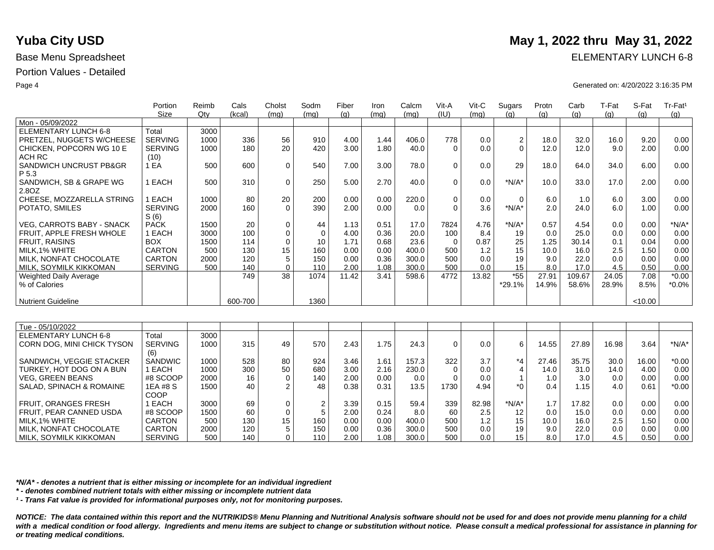MILK, SOYMILK KIKKOMAN

|                                  | Portion        | Reimb | Cals    | Cholst         | Sodm        | Fiber | Iron | Calcm | Vit-A       | Vit-C | Sugars           | Protn | Carb   | T-Fat | S-Fat   | Tr-Fat <sup>1</sup> |
|----------------------------------|----------------|-------|---------|----------------|-------------|-------|------|-------|-------------|-------|------------------|-------|--------|-------|---------|---------------------|
|                                  | Size           | Qtv   | (kcal)  | (mq)           | (mq)        | (q)   | (mq) | (mq)  | (IU)        | (mq)  | (q)              | (q)   | (q)    | (q)   | (q)     | (q)                 |
| Mon - 05/09/2022                 |                |       |         |                |             |       |      |       |             |       |                  |       |        |       |         |                     |
| <b>ELEMENTARY LUNCH 6-8</b>      | Total          | 3000  |         |                |             |       |      |       |             |       |                  |       |        |       |         |                     |
| PRETZEL, NUGGETS W/CHEESE        | <b>SERVING</b> | 1000  | 336     | 56             | 910         | 4.00  | 1.44 | 406.0 | 778         | 0.0   | $\boldsymbol{2}$ | 18.0  | 32.0   | 16.0  | 9.20    | 0.00                |
| CHICKEN, POPCORN WG 10 E         | <b>SERVING</b> | 1000  | 180     | 20             | 420         | 3.00  | 1.80 | 40.0  | $\Omega$    | 0.0   | $\Omega$         | 12.0  | 12.0   | 9.0   | 2.00    | 0.00                |
| <b>ACH RC</b>                    | (10)           |       |         |                |             |       |      |       |             |       |                  |       |        |       |         |                     |
| SANDWICH UNCRUST PB&GR<br>P 5.3  | 1 EA           | 500   | 600     | 0              | 540         | 7.00  | 3.00 | 78.0  | $\Omega$    | 0.0   | 29               | 18.0  | 64.0   | 34.0  | 6.00    | 0.00                |
| SANDWICH, SB & GRAPE WG<br>2.8OZ | 1 EACH         | 500   | 310     | 0              | 250         | 5.00  | 2.70 | 40.0  | $\Omega$    | 0.0   | $*N/A*$          | 10.0  | 33.0   | 17.0  | 2.00    | 0.00                |
| CHEESE, MOZZARELLA STRING        | 1 EACH         | 1000  | 80      | 20             | 200         | 0.00  | 0.00 | 220.0 | $\mathbf 0$ | 0.0   | $\mathbf 0$      | 6.0   | 1.0    | 6.0   | 3.00    | 0.00                |
| POTATO, SMILES                   | <b>SERVING</b> | 2000  | 160     | $\Omega$       | 390         | 2.00  | 0.00 | 0.0   | $\Omega$    | 3.6   | $*N/A*$          | 2.0   | 24.0   | 6.0   | 1.00    | 0.00                |
|                                  | S(6)           |       |         |                |             |       |      |       |             |       |                  |       |        |       |         |                     |
| <b>VEG. CARROTS BABY - SNACK</b> | <b>PACK</b>    | 1500  | 20      | 0              | 44          | 1.13  | 0.51 | 17.0  | 7824        | 4.76  | $*N/A*$          | 0.57  | 4.54   | 0.0   | 0.00    | $*N/A*$             |
| FRUIT, APPLE FRESH WHOLE         | 1 EACH         | 3000  | 100     | $\mathbf 0$    | $\mathbf 0$ | 4.00  | 0.36 | 20.0  | 100         | 8.4   | 19               | 0.0   | 25.0   | 0.0   | 0.00    | 0.00                |
| <b>FRUIT, RAISINS</b>            | <b>BOX</b>     | 1500  | 114     | $\mathbf 0$    | 10          | 1.71  | 0.68 | 23.6  | $\Omega$    | 0.87  | 25               | 1.25  | 30.14  | 0.1   | 0.04    | 0.00                |
| MILK.1% WHITE                    | <b>CARTON</b>  | 500   | 130     | 15             | 160         | 0.00  | 0.00 | 400.0 | 500         | 1.2   | 15               | 10.0  | 16.0   | 2.5   | 1.50    | 0.00                |
| MILK, NONFAT CHOCOLATE           | <b>CARTON</b>  | 2000  | 120     | 5              | 150         | 0.00  | 0.36 | 300.0 | 500         | 0.0   | 19               | 9.0   | 22.0   | 0.0   | 0.00    | 0.00                |
| MILK, SOYMILK KIKKOMAN           | <b>SERVING</b> | 500   | 140     | $\Omega$       | 110         | 2.00  | 1.08 | 300.0 | 500         | 0.0   | 15               | 8.0   | 17.0   | 4.5   | 0.50    | 0.00                |
| <b>Weighted Daily Average</b>    |                |       | 749     | 38             | 1074        | 11.42 | 3.41 | 598.6 | 4772        | 13.82 | $*55$            | 27.91 | 109.67 | 24.05 | 7.08    | $*0.00$             |
| % of Calories                    |                |       |         |                |             |       |      |       |             |       | *29.1%           | 14.9% | 58.6%  | 28.9% | 8.5%    | $*0.0\%$            |
|                                  |                |       |         |                |             |       |      |       |             |       |                  |       |        |       |         |                     |
| <b>Nutrient Guideline</b>        |                |       | 600-700 |                | 1360        |       |      |       |             |       |                  |       |        |       | < 10.00 |                     |
|                                  |                |       |         |                |             |       |      |       |             |       |                  |       |        |       |         |                     |
| Tue - 05/10/2022                 |                |       |         |                |             |       |      |       |             |       |                  |       |        |       |         |                     |
| ELEMENTARY LUNCH 6-8             | Total          | 3000  |         |                |             |       |      |       |             |       |                  |       |        |       |         |                     |
| CORN DOG, MINI CHICK TYSON       | <b>SERVING</b> | 1000  | 315     | 49             | 570         | 2.43  | 1.75 | 24.3  | $\Omega$    | 0.0   | 6                | 14.55 | 27.89  | 16.98 | 3.64    | $*N/A*$             |
|                                  | (6)            |       |         |                |             |       |      |       |             |       |                  |       |        |       |         |                     |
| SANDWICH, VEGGIE STACKER         | <b>SANDWIC</b> | 1000  | 528     | 80             | 924         | 3.46  | 1.61 | 157.3 | 322         | 3.7   | $*_{4}$          | 27.46 | 35.75  | 30.0  | 16.00   | $*0.00$             |
| TURKEY, HOT DOG ON A BUN         | 1 EACH         | 1000  | 300     | 50             | 680         | 3.00  | 2.16 | 230.0 | $\Omega$    | 0.0   | $\overline{4}$   | 14.0  | 31.0   | 14.0  | 4.00    | 0.00                |
| <b>VEG. GREEN BEANS</b>          | #8 SCOOP       | 2000  | 16      | $\mathbf 0$    | 140         | 2.00  | 0.00 | 0.0   | $\Omega$    | 0.0   | 1                | 1.0   | 3.0    | 0.0   | 0.00    | 0.00                |
| SALAD, SPINACH & ROMAINE         | 1EA #8 S       | 1500  | 40      | $\overline{2}$ | 48          | 0.38  | 0.31 | 13.5  | 1730        | 4.94  | $*$ 0            | 0.4   | 1.15   | 4.0   | 0.61    | $*0.00$             |
|                                  | COOP           |       |         |                |             |       |      |       |             |       |                  |       |        |       |         |                     |
| <b>FRUIT, ORANGES FRESH</b>      | 1 EACH         | 3000  | 69      | $\mathbf 0$    | $\mathbf 2$ | 3.39  | 0.15 | 59.4  | 339         | 82.98 | $*N/A*$          | 1.7   | 17.82  | 0.0   | 0.00    | 0.00                |
| FRUIT, PEAR CANNED USDA          | #8 SCOOP       | 1500  | 60      | $\mathbf 0$    | 5           | 2.00  | 0.24 | 8.0   | 60          | 2.5   | 12               | 0.0   | 15.0   | 0.0   | 0.00    | 0.00                |
| MILK, 1% WHITE                   | <b>CARTON</b>  | 500   | 130     | 15             | 160         | 0.00  | 0.00 | 400.0 | 500         | 1.2   | 15               | 10.0  | 16.0   | 2.5   | 1.50    | 0.00                |
| MILK. NONFAT CHOCOLATE           | <b>CARTON</b>  | 2000  | 120     | 5              | 150         | 0.00  | 0.36 | 300.0 | 500         | 0.0   | 19               | 9.0   | 22.0   | 0.0   | 0.00    | 0.00                |

*\*N/A\* - denotes a nutrient that is either missing or incomplete for an individual ingredient*

*\* - denotes combined nutrient totals with either missing or incomplete nutrient data*

SERVING

*¹ - Trans Fat value is provided for informational purposes only, not for monitoring purposes.*

500

140

 $\overline{0}$ 

110

*NOTICE: The data contained within this report and the NUTRIKIDS® Menu Planning and Nutritional Analysis software should not be used for and does not provide menu planning for a child*  with a medical condition or food allergy. Ingredients and menu items are subject to change or substitution without notice. Please consult a medical professional for assistance in planning for *or treating medical conditions.*

2.00

1.08

300.0

500

0.0

15

8.0

17.0

4.5

0.50

0.00

# **Yuba City USD** May 1, 2022 thru May 31, 2022

Base Menu Spreadsheet **ELEMENTARY LUNCH 6-8** 

Page 4 Generated on: 4/20/2022 3:16:35 PM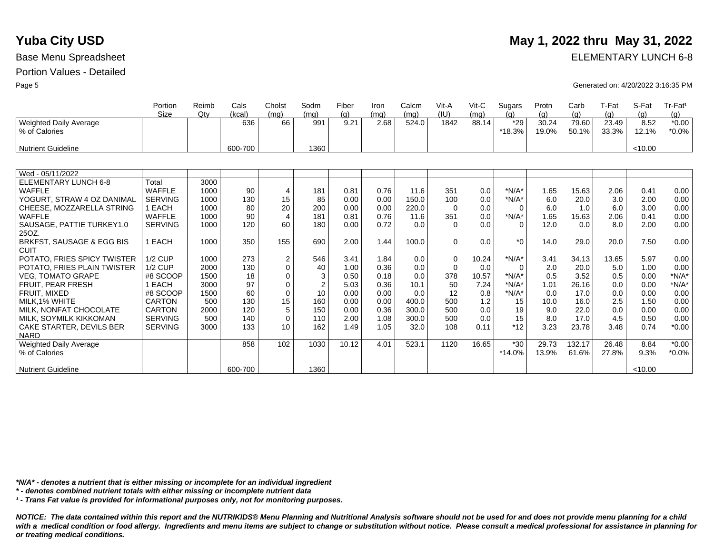|                                         | Portion<br>Size           | Reimb<br>Qtv | Cals<br>(kcal) | Cholst<br>(mq)            | Sodm<br>(mq)   | Fiber<br>(q) | Iron<br>(mq) | Calcm<br>(mq)  | Vit-A<br>(IU) | Vit-C<br>(mq) | Sugars<br>(q) | Protn<br>(q) | Carb<br>(q)  | T-Fat<br>(q) | S-Fat<br>(q) | Tr-Fat <sup>1</sup><br>(g) |
|-----------------------------------------|---------------------------|--------------|----------------|---------------------------|----------------|--------------|--------------|----------------|---------------|---------------|---------------|--------------|--------------|--------------|--------------|----------------------------|
| <b>Weighted Daily Average</b>           |                           |              | 636            | 66                        | 991            | 9.21         | 2.68         | 524.0          | 1842          | 88.14         | $*29$         | 30.24        | 79.60        | 23.49        | 8.52         | $*0.00$                    |
| % of Calories                           |                           |              |                |                           |                |              |              |                |               |               | $*18.3%$      | 19.0%        | 50.1%        | 33.3%        | 12.1%        | $*0.0\%$                   |
| <b>Nutrient Guideline</b>               |                           |              | 600-700        |                           | 1360           |              |              |                |               |               |               |              |              |              | < 10.00      |                            |
|                                         |                           |              |                |                           |                |              |              |                |               |               |               |              |              |              |              |                            |
| Wed - 05/11/2022                        |                           |              |                |                           |                |              |              |                |               |               |               |              |              |              |              |                            |
| ELEMENTARY LUNCH 6-8                    | Total                     | 3000         |                |                           |                |              |              |                |               |               |               |              |              |              |              |                            |
| WAFFLE                                  | <b>WAFFLE</b>             | 1000         | 90             | 4                         | 181            | 0.81         | 0.76         | 11.6           | 351           | 0.0           | $*N/A*$       | 1.65         | 15.63        | 2.06         | 0.41         | 0.00                       |
| YOGURT, STRAW 4 OZ DANIMAL              | <b>SERVING</b>            | 1000         | 130            | 15                        | 85             | 0.00         | 0.00         | 150.0          | 100           | 0.0           | $*N/A*$       | 6.0          | 20.0         | 3.0          | 2.00         | 0.00                       |
| CHEESE, MOZZARELLA STRING               | 1 EACH                    | 1000         | 80             | 20                        | 200            | 0.00         | 0.00         | 220.0          | $\Omega$      | 0.0           | 0             | 6.0          | 1.0          | 6.0          | 3.00         | 0.00                       |
| <b>WAFFLE</b>                           | <b>WAFFLE</b>             | 1000         | 90             | $\overline{A}$            | 181            | 0.81         | 0.76         | 11.6           | 351           | 0.0           | $*N/A*$       | 1.65         | 15.63        | 2.06         | 0.41         | 0.00                       |
| SAUSAGE, PATTIE TURKEY1.0               | <b>SERVING</b>            | 1000         | 120            | 60                        | 180            | 0.00         | 0.72         | 0.0            | $\Omega$      | 0.0           | $\Omega$      | 12.0         | 0.0          | 8.0          | 2.00         | 0.00                       |
| 25OZ.                                   |                           |              |                |                           |                |              |              |                |               |               |               |              |              |              |              |                            |
| BRKFST, SAUSAGE & EGG BIS               | 1 EACH                    | 1000         | 350            | 155                       | 690            | 2.00         | 1.44         | 100.0          | $\Omega$      | 0.0           | $*_{0}$       | 14.0         | 29.0         | 20.0         | 7.50         | 0.00                       |
| <b>CUIT</b>                             |                           |              |                |                           |                |              |              |                |               |               |               |              |              |              |              |                            |
| POTATO, FRIES SPICY TWISTER             | $1/2$ CUP                 | 1000         | 273            | $\boldsymbol{2}$          | 546            | 3.41         | 1.84         | 0.0            | $\Omega$      | 10.24         | $*N/A*$       | 3.41         | 34.13        | 13.65        | 5.97         | 0.00                       |
| POTATO, FRIES PLAIN TWISTER             | <b>1/2 CUP</b>            | 2000         | 130            | $\mathbf 0$               | 40             | 1.00         | 0.36         | 0.0            | $\Omega$      | 0.0           | $\Omega$      | 2.0          | 20.0         | 5.0          | 1.00         | 0.00                       |
| <b>VEG. TOMATO GRAPE</b>                | #8 SCOOP                  | 1500         | 18             | $\Omega$                  | 3              | 0.50         | 0.18         | 0.0            | 378           | 10.57         | $*N/A*$       | 0.5          | 3.52         | 0.5          | 0.00         | $*N/A*$                    |
| <b>FRUIT, PEAR FRESH</b>                | 1 EACH                    | 3000         | 97             | $\mathbf 0$               | $\overline{2}$ | 5.03         | 0.36         | 10.1           | 50            | 7.24          | $*N/A*$       | 1.01         | 26.16        | 0.0          | 0.00         | $*N/A*$                    |
| FRUIT, MIXED                            | #8 SCOOP<br><b>CARTON</b> | 1500<br>500  | 60<br>130      | $\mathbf 0$<br>15         | 10<br>160      | 0.00         | 0.00<br>0.00 | 0.0            | 12            | 0.8<br>1.2    | $*N/A*$<br>15 | 0.0          | 17.0         | 0.0<br>2.5   | 0.00<br>1.50 | 0.00                       |
| MILK.1% WHITE<br>MILK. NONFAT CHOCOLATE | <b>CARTON</b>             | 2000         |                |                           |                | 0.00         | 0.36         | 400.0          | 500           |               |               | 10.0         | 16.0         |              |              | 0.00                       |
| MILK, SOYMILK KIKKOMAN                  | <b>SERVING</b>            | 500          | 120<br>140     | $\sqrt{5}$<br>$\mathbf 0$ | 150<br>110     | 0.00<br>2.00 | 1.08         | 300.0<br>300.0 | 500<br>500    | 0.0<br>0.0    | 19<br>15      | 9.0<br>8.0   | 22.0<br>17.0 | 0.0<br>4.5   | 0.00<br>0.50 | 0.00<br>0.00               |
| CAKE STARTER, DEVILS BER                | <b>SERVING</b>            | 3000         | 133            | 10                        | 162            | 1.49         | 1.05         | 32.0           | 108           | 0.11          | $*12$         | 3.23         | 23.78        | 3.48         | 0.74         | $*0.00$                    |
| <b>NARD</b>                             |                           |              |                |                           |                |              |              |                |               |               |               |              |              |              |              |                            |
| <b>Weighted Daily Average</b>           |                           |              | 858            | 102                       | 1030           | 10.12        | 4.01         | 523.1          | 1120          | 16.65         | $*30$         | 29.73        | 132.17       | 26.48        | 8.84         | $*0.00$                    |
| % of Calories                           |                           |              |                |                           |                |              |              |                |               |               | $*14.0%$      | 13.9%        | 61.6%        | 27.8%        | 9.3%         | $*0.0\%$                   |
|                                         |                           |              |                |                           |                |              |              |                |               |               |               |              |              |              |              |                            |
| <b>Nutrient Guideline</b>               |                           |              | 600-700        |                           | 1360           |              |              |                |               |               |               |              |              |              | < 10.00      |                            |

**Yuba City USD** May 1, 2022 thru May 31, 2022

Base Menu Spreadsheet **ELEMENTARY LUNCH 6-8** 

Page 5 Generated on: 4/20/2022 3:16:35 PM

*\*N/A\* - denotes a nutrient that is either missing or incomplete for an individual ingredient*

*\* - denotes combined nutrient totals with either missing or incomplete nutrient data*

*¹ - Trans Fat value is provided for informational purposes only, not for monitoring purposes.*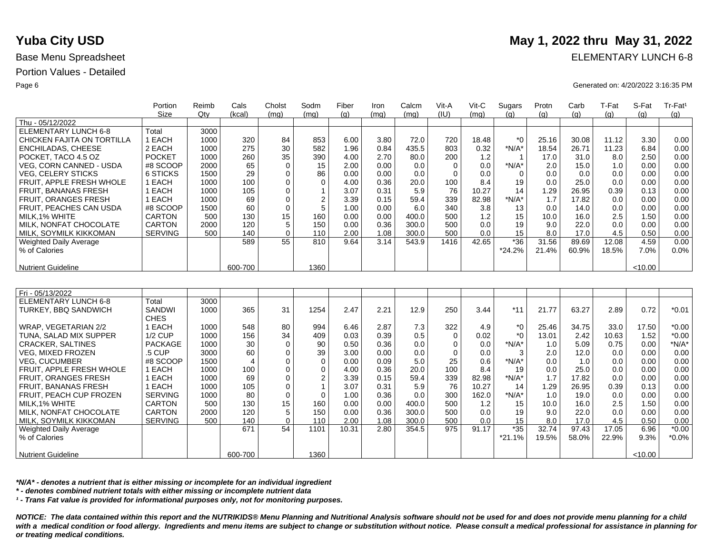Nutrient Guideline

|                               | Portion        | Reimb | Cals    | Cholst      | Sodm           | Fiber | Iron | Calcm | Vit-A    | $V$ it-C | Sugars       | Protn | Carb  | T-Fat | S-Fat   | Tr-Fat <sup>1</sup> |
|-------------------------------|----------------|-------|---------|-------------|----------------|-------|------|-------|----------|----------|--------------|-------|-------|-------|---------|---------------------|
|                               | <b>Size</b>    | Qtv   | (kcal)  | (mq)        | (mq)           | (q)   | (mq) | (mq)  | (IU)     | (mq)     | (q)          | (q)   | (q)   | (q)   | (q)     | (q)                 |
| Thu - 05/12/2022              |                |       |         |             |                |       |      |       |          |          |              |       |       |       |         |                     |
| <b>ELEMENTARY LUNCH 6-8</b>   | Total          | 3000  |         |             |                |       |      |       |          |          |              |       |       |       |         |                     |
| CHICKEN FAJITA ON TORTILLA    | 1 EACH         | 1000  | 320     | 84          | 853            | 6.00  | 3.80 | 72.0  | 720      | 18.48    | $*$ 0        | 25.16 | 30.08 | 11.12 | 3.30    | 0.00                |
| ENCHILADAS, CHEESE            | 2 EACH         | 1000  | 275     | 30          | 582            | 1.96  | 0.84 | 435.5 | 803      | 0.32     | $*N/A*$      | 18.54 | 26.71 | 11.23 | 6.84    | 0.00                |
| POCKET, TACO 4.5 OZ           | <b>POCKET</b>  | 1000  | 260     | 35          | 390            | 4.00  | 2.70 | 80.0  | 200      | 1.2      |              | 17.0  | 31.0  | 8.0   | 2.50    | 0.00                |
| VEG, CORN CANNED - USDA       | #8 SCOOP       | 2000  | 65      | $\mathbf 0$ | 15             | 2.00  | 0.00 | 0.0   | $\Omega$ | 0.0      | $*N/A*$      | 2.0   | 15.0  | 1.0   | 0.00    | 0.00                |
| <b>VEG, CELERY STICKS</b>     | 6 STICKS       | 1500  | 29      | $\Omega$    | 86             | 0.00  | 0.00 | 0.0   | $\Omega$ | 0.0      | $\Omega$     | 0.0   | 0.0   | 0.0   | 0.00    | 0.00                |
| FRUIT, APPLE FRESH WHOLE      | 1 EACH         | 1000  | 100     | $\mathbf 0$ | $\mathbf 0$    | 4.00  | 0.36 | 20.0  | 100      | 8.4      | 19           | 0.0   | 25.0  | 0.0   | 0.00    | 0.00                |
| <b>FRUIT, BANANAS FRESH</b>   | 1 EACH         | 1000  | 105     | $\Omega$    | $\mathbf{1}$   | 3.07  | 0.31 | 5.9   | 76       | 10.27    | 14           | 1.29  | 26.95 | 0.39  | 0.13    | 0.00                |
| <b>FRUIT, ORANGES FRESH</b>   | 1 EACH         | 1000  | 69      | $\Omega$    | $\overline{c}$ | 3.39  | 0.15 | 59.4  | 339      | 82.98    | $*N/A*$      | 1.7   | 17.82 | 0.0   | 0.00    | 0.00                |
| FRUIT. PEACHES CAN USDA       | #8 SCOOP       | 1500  | 60      | $\Omega$    | 5              | 1.00  | 0.00 | 6.0   | 340      | 3.8      | 13           | 0.0   | 14.0  | 0.0   | 0.00    | 0.00                |
| MILK.1% WHITE                 | <b>CARTON</b>  | 500   | 130     | 15          | 160            | 0.00  | 0.00 | 400.0 | 500      | 1.2      | 15           | 10.0  | 16.0  | 2.5   | 1.50    | 0.00                |
| <b>MILK, NONFAT CHOCOLATE</b> | <b>CARTON</b>  | 2000  | 120     | 5           | 150            | 0.00  | 0.36 | 300.0 | 500      | 0.0      | 19           | 9.0   | 22.0  | 0.0   | 0.00    | 0.00                |
| <b>MILK, SOYMILK KIKKOMAN</b> | <b>SERVING</b> | 500   | 140     | $\mathbf 0$ | 110            | 2.00  | 1.08 | 300.0 | 500      | 0.0      | 15           | 8.0   | 17.0  | 4.5   | 0.50    | 0.00                |
| <b>Weighted Daily Average</b> |                |       | 589     | 55          | 810            | 9.64  | 3.14 | 543.9 | 1416     | 42.65    | $*36$        | 31.56 | 89.69 | 12.08 | 4.59    | 0.00                |
| % of Calories                 |                |       |         |             |                |       |      |       |          |          | $*24.2%$     | 21.4% | 60.9% | 18.5% | 7.0%    | 0.0%                |
|                               |                |       |         |             |                |       |      |       |          |          |              |       |       |       |         |                     |
| <b>Nutrient Guideline</b>     |                |       | 600-700 |             | 1360           |       |      |       |          |          |              |       |       |       | < 10.00 |                     |
|                               |                |       |         |             |                |       |      |       |          |          |              |       |       |       |         |                     |
|                               |                |       |         |             |                |       |      |       |          |          |              |       |       |       |         |                     |
| Fri - 05/13/2022              |                |       |         |             |                |       |      |       |          |          |              |       |       |       |         |                     |
| ELEMENTARY LUNCH 6-8          | Total          | 3000  |         |             |                |       |      |       |          |          |              |       |       |       |         |                     |
| <b>TURKEY, BBQ SANDWICH</b>   | SANDWI         | 1000  | 365     | 31          | 1254           | 2.47  | 2.21 | 12.9  | 250      | 3.44     | $*11$        | 21.77 | 63.27 | 2.89  | 0.72    | $*0.01$             |
|                               | <b>CHES</b>    |       |         |             |                |       |      |       |          |          |              |       |       |       |         |                     |
| WRAP, VEGETARIAN 2/2          | 1 EACH         | 1000  | 548     | 80          | 994            | 6.46  | 2.87 | 7.3   | 322      | 4.9      | $*_{0}$      | 25.46 | 34.75 | 33.0  | 17.50   | $*0.00$             |
| TUNA, SALAD MIX SUPPER        | <b>1/2 CUP</b> | 1000  | 156     | 34          | 409            | 0.03  | 0.39 | 0.5   | $\Omega$ | 0.02     | $*$ $\Omega$ | 13.01 | 2.42  | 10.63 | 1.52    | $*0.00$             |
| <b>CRACKER, SALTINES</b>      | <b>PACKAGE</b> | 1000  | 30      | $\mathbf 0$ | 90             | 0.50  | 0.36 | 0.0   | $\Omega$ | 0.0      | $*N/A*$      | 1.0   | 5.09  | 0.75  | 0.00    | $*N/A*$             |
| <b>VEG, MIXED FROZEN</b>      | .5 CUP         | 3000  | 60      | $\mathbf 0$ | 39             | 3.00  | 0.00 | 0.0   | $\Omega$ | 0.0      | 3            | 2.0   | 12.0  | 0.0   | 0.00    | 0.00                |
| <b>VEG. CUCUMBER</b>          | #8 SCOOP       | 1500  | 4       | $\mathbf 0$ | $\mathbf 0$    | 0.00  | 0.09 | 5.0   | 25       | 0.6      | $*N/A*$      | 0.0   | 1.0   | 0.0   | 0.00    | 0.00                |
| FRUIT, APPLE FRESH WHOLE      | 1 EACH         | 1000  | 100     | 0           | $\mathbf 0$    | 4.00  | 0.36 | 20.0  | 100      | 8.4      | 19           | 0.0   | 25.0  | 0.0   | 0.00    | 0.00                |
| FRUIT, ORANGES FRESH          | 1 EACH         | 1000  | 69      | $\mathbf 0$ | $\overline{c}$ | 3.39  | 0.15 | 59.4  | 339      | 82.98    | $*N/A*$      | 1.7   | 17.82 | 0.0   | 0.00    | 0.00                |
| FRUIT, BANANAS FRESH          | 1 EACH         | 1000  | 105     | $\mathbf 0$ | $\mathbf{1}$   | 3.07  | 0.31 | 5.9   | 76       | 10.27    | 14           | 1.29  | 26.95 | 0.39  | 0.13    | 0.00                |
| FRUIT, PEACH CUP FROZEN       | <b>SERVING</b> | 1000  | 80      | $\mathbf 0$ | $\mathbf 0$    | 1.00  | 0.36 | 0.0   | 300      | 162.0    | $*N/A*$      | 1.0   | 19.0  | 0.0   | 0.00    | 0.00                |
| MILK.1% WHITE                 | <b>CARTON</b>  | 500   | 130     | 15          | 160            | 0.00  | 0.00 | 400.0 | 500      | 1.2      | 15           | 10.0  | 16.0  | 2.5   | 1.50    | 0.00                |
| <b>MILK, NONFAT CHOCOLATE</b> | <b>CARTON</b>  | 2000  | 120     | 5           | 150            | 0.00  | 0.36 | 300.0 | 500      | 0.0      | 19           | 9.0   | 22.0  | 0.0   | 0.00    | 0.00                |
| MILK. SOYMILK KIKKOMAN        | <b>SERVING</b> | 500   | 140     | $\Omega$    | 110            | 2.00  | 1.08 | 300.0 | 500      | 0.0      | 15           | 8.0   | 17.0  | 4.5   | 0.50    | 0.00                |
| Weighted Daily Average        |                |       | 671     | 54          | 1101           | 10.31 | 2.80 | 354.5 | 975      | 91.17    | $*35$        | 32.74 | 97.43 | 17.05 | 6.96    | $*0.00$             |
| % of Calories                 |                |       |         |             |                |       |      |       |          |          | $*21.1%$     | 19.5% | 58.0% | 22.9% | 9.3%    | $*0.0\%$            |

*\*N/A\* - denotes a nutrient that is either missing or incomplete for an individual ingredient*

*\* - denotes combined nutrient totals with either missing or incomplete nutrient data*

*¹ - Trans Fat value is provided for informational purposes only, not for monitoring purposes.*

600-700

*NOTICE: The data contained within this report and the NUTRIKIDS® Menu Planning and Nutritional Analysis software should not be used for and does not provide menu planning for a child*  with a medical condition or food allergy. Ingredients and menu items are subject to change or substitution without notice. Please consult a medical professional for assistance in planning for *or treating medical conditions.*

1360

## **Yuba City USD** May 1, 2022 thru May 31, 2022

Base Menu Spreadsheet **ELEMENTARY LUNCH 6-8** 

Page 6 Generated on: 4/20/2022 3:16:35 PM

 $< 10.00$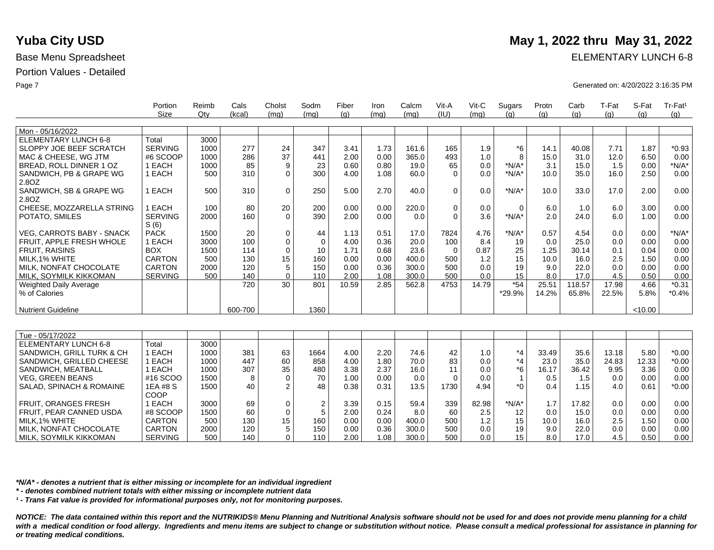|                                  | Portion                | Reimb | Cals    | Cholst      | Sodm | Fiber | Iron | Calcm | Vit-A<br>(IU) | Vit-C | Sugars         | Protn | Carb   | T-Fat | S-Fat   | Tr-Fat <sup>1</sup> |
|----------------------------------|------------------------|-------|---------|-------------|------|-------|------|-------|---------------|-------|----------------|-------|--------|-------|---------|---------------------|
|                                  | Size                   | Qty   | (kcal)  | (mq)        | (mq) | (q)   | (mq) | (mq)  |               | (mq)  | (q)            | (q)   | (q)    | (q)   | (q)     | (q)                 |
| Mon - 05/16/2022                 |                        |       |         |             |      |       |      |       |               |       |                |       |        |       |         |                     |
| <b>ELEMENTARY LUNCH 6-8</b>      | Total                  | 3000  |         |             |      |       |      |       |               |       |                |       |        |       |         |                     |
| SLOPPY JOE BEEF SCRATCH          | <b>SERVING</b>         | 1000  | 277     | 24          | 347  | 3.41  | 1.73 | 161.6 | 165           | 1.9   | $*6$           | 14.1  | 40.08  | 7.71  | 1.87    | $*0.93$             |
| MAC & CHEESE, WG JTM             | #6 SCOOP               | 1000  | 286     | 37          | 441  | 2.00  | 0.00 | 365.0 | 493           | 1.0   | 8              | 15.0  | 31.0   | 12.0  | 6.50    | 0.00                |
| BREAD, ROLL DINNER 1 OZ          | 1 EACH                 | 1000  | 85      | 9           | 23   | 0.60  | 0.80 | 19.0  | 65            | 0.0   | $*N/A*$        | 3.1   | 15.0   | 1.5   | 0.00    | $*N/A*$             |
| SANDWICH, PB & GRAPE WG          | 1 EACH                 | 500   | 310     | $\Omega$    | 300  | 4.00  | 1.08 | 60.0  | $\Omega$      | 0.0   | $*N/A*$        | 10.0  | 35.0   | 16.0  | 2.50    | 0.00                |
| 2.8OZ                            |                        |       |         |             |      |       |      |       |               |       |                |       |        |       |         |                     |
| SANDWICH, SB & GRAPE WG<br>2.8OZ | 1 EACH                 | 500   | 310     | $\mathbf 0$ | 250  | 5.00  | 2.70 | 40.0  | $\mathbf 0$   | 0.0   | $*N/A*$        | 10.0  | 33.0   | 17.0  | 2.00    | 0.00                |
| CHEESE, MOZZARELLA STRING        | 1 EACH                 | 100   | 80      | 20          | 200  | 0.00  | 0.00 | 220.0 | $\mathbf 0$   | 0.0   | $\Omega$       | 6.0   | 1.0    | 6.0   | 3.00    | 0.00                |
| POTATO, SMILES                   | <b>SERVING</b><br>S(6) | 2000  | 160     | $\Omega$    | 390  | 2.00  | 0.00 | 0.0   | $\Omega$      | 3.6   | $*N/A*$        | 2.0   | 24.0   | 6.0   | 1.00    | 0.00                |
| <b>VEG. CARROTS BABY - SNACK</b> | <b>PACK</b>            | 1500  | 20      | $\Omega$    | 44   | 1.13  | 0.51 | 17.0  | 7824          | 4.76  | $*N/A*$        | 0.57  | 4.54   | 0.0   | 0.00    | $*N/A*$             |
| <b>FRUIT. APPLE FRESH WHOLE</b>  | 1 EACH                 | 3000  | 100     | $\mathbf 0$ | 0    | 4.00  | 0.36 | 20.0  | 100           | 8.4   | 19             | 0.0   | 25.0   | 0.0   | 0.00    | 0.00                |
| <b>FRUIT, RAISINS</b>            | <b>BOX</b>             | 1500  | 114     | $\mathbf 0$ | 10   | 1.71  | 0.68 | 23.6  | $\mathbf 0$   | 0.87  | 25             | 1.25  | 30.14  | 0.1   | 0.04    | 0.00                |
| MILK.1% WHITE                    | <b>CARTON</b>          | 500   | 130     | 15          | 160  | 0.00  | 0.00 | 400.0 | 500           | 1.2   | 15             | 10.0  | 16.0   | 2.5   | 1.50    | 0.00                |
| MILK. NONFAT CHOCOLATE           | <b>CARTON</b>          | 2000  | 120     | 5           | 150  | 0.00  | 0.36 | 300.0 | 500           | 0.0   | 19             | 9.0   | 22.0   | 0.0   | 0.00    | 0.00                |
| MILK, SOYMILK KIKKOMAN           | <b>SERVING</b>         | 500   | 140     | $\mathbf 0$ | 110  | 2.00  | 1.08 | 300.0 | 500           | 0.0   | 15             | 8.0   | 17.0   | 4.5   | 0.50    | 0.00                |
| Weighted Daily Average           |                        |       | 720     | 30          | 801  | 10.59 | 2.85 | 562.8 | 4753          | 14.79 | $*54$          | 25.51 | 118.57 | 17.98 | 4.66    | $*0.31$             |
| % of Calories                    |                        |       |         |             |      |       |      |       |               |       | *29.9%         | 14.2% | 65.8%  | 22.5% | 5.8%    | $*0.4%$             |
| <b>Nutrient Guideline</b>        |                        |       | 600-700 |             | 1360 |       |      |       |               |       |                |       |        |       | < 10.00 |                     |
|                                  |                        |       |         |             |      |       |      |       |               |       |                |       |        |       |         |                     |
| Tue - 05/17/2022                 |                        |       |         |             |      |       |      |       |               |       |                |       |        |       |         |                     |
| <b>ELEMENTARY LUNCH 6-8</b>      | Total                  | 3000  |         |             |      |       |      |       |               |       |                |       |        |       |         |                     |
| SANDWICH, GRILL TURK & CH        | 1 EACH                 | 1000  | 381     | 63          | 1664 | 4.00  | 2.20 | 74.6  | 42            | 1.0   | $*_{4}$        | 33.49 | 35.6   | 13.18 | 5.80    | $*0.00$             |
| SANDWICH, GRILLED CHEESE         | 1 EACH                 | 1000  | 447     | 60          | 858  | 4.00  | 1.80 | 70.0  | 83            | 0.0   | $*_{4}$        | 23.0  | 35.0   | 24.83 | 12.33   | $*0.00$             |
| SANDWICH, MEATBALL               | 1 EACH                 | 1000  | 307     | 35          | 480  | 3.38  | 2.37 | 16.0  | 11            | 0.0   | $*6$           | 16.17 | 36.42  | 9.95  | 3.36    | 0.00                |
| <b>VEG, GREEN BEANS</b>          | #16 SCOO               | 1500  | 8       | $\mathbf 0$ | 70   | 1.00  | 0.00 | 0.0   | $\mathbf 0$   | 0.0   | $\overline{1}$ | 0.5   | 1.5    | 0.0   | 0.00    | 0.00                |
| SALAD, SPINACH & ROMAINE         | 1EA #8 S<br>COOP       | 1500  | 40      | 2           | 48   | 0.38  | 0.31 | 13.5  | 1730          | 4.94  | $*$ 0          | 0.4   | 1.15   | 4.0   | 0.61    | $*0.00$             |
| FRUIT, ORANGES FRESH             | 1 EACH                 | 3000  | 69      | $\mathbf 0$ | 2    | 3.39  | 0.15 | 59.4  | 339           | 82.98 | $*N/A*$        | 1.7   | 17.82  | 0.0   | 0.00    | 0.00                |
| FRUIT, PEAR CANNED USDA          | #8 SCOOP               | 1500  | 60      | $\mathbf 0$ | 5    | 2.00  | 0.24 | 8.0   | 60            | 2.5   | 12             | 0.0   | 15.0   | 0.0   | 0.00    | 0.00                |
| MILK, 1% WHITE                   | <b>CARTON</b>          | 500   | 130     | 15          | 160  | 0.00  | 0.00 | 400.0 | 500           | 1.2   | 15             | 10.0  | 16.0   | 2.5   | 1.50    | 0.00                |
| MILK, NONFAT CHOCOLATE           | CARTON                 | 2000  | 120     | 5           | 150  | 0.00  | 0.36 | 300.0 | 500           | 0.0   | 19             | 9.0   | 22.0   | 0.0   | 0.00    | 0.00                |
| MILK, SOYMILK KIKKOMAN           | <b>SERVING</b>         | 500   | 140     | $\Omega$    | 110  | 2.00  | 1.08 | 300.0 | 500           | 0.0   | 15             | 8.0   | 17.0   | 4.5   | 0.50    | 0.00                |

*\*N/A\* - denotes a nutrient that is either missing or incomplete for an individual ingredient*

*\* - denotes combined nutrient totals with either missing or incomplete nutrient data*

*¹ - Trans Fat value is provided for informational purposes only, not for monitoring purposes.*

*NOTICE: The data contained within this report and the NUTRIKIDS® Menu Planning and Nutritional Analysis software should not be used for and does not provide menu planning for a child*  with a medical condition or food allergy. Ingredients and menu items are subject to change or substitution without notice. Please consult a medical professional for assistance in planning for *or treating medical conditions.*

## **Yuba City USD** May 1, 2022 thru May 31, 2022

Base Menu Spreadsheet **ELEMENTARY LUNCH 6-8** 

Page 7 Generated on: 4/20/2022 3:16:35 PM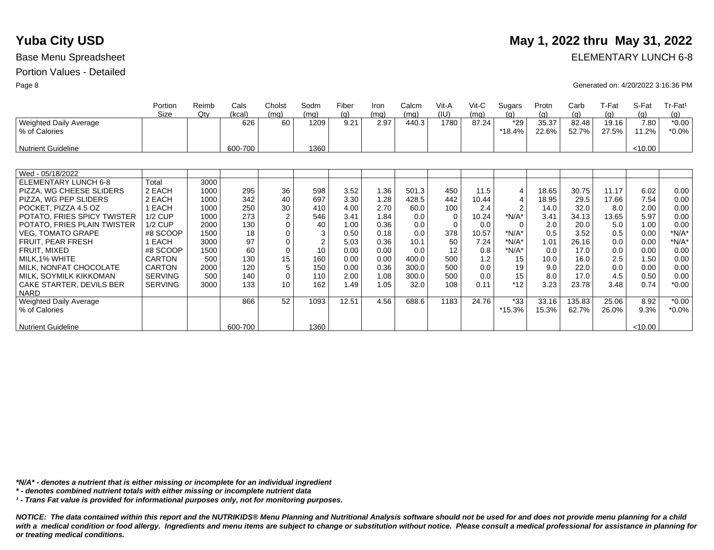# **Yuba City USD** May 1, 2022 thru May 31, 2022

Base Menu Spreadsheet **ELEMENTARY LUNCH 6-8** 

Page 8 Generated on: 4/20/2022 3:16:36 PM

|                             | Portion        | Reimb | Cals    | Cholst         | Sodm           | Fiber | Iron | Calcm | Vit-A    | $V$ it-C | Sugars         | Protn | Carb   | T-Fat | S-Fat   | Tr-Fat <sup>1</sup> |
|-----------------------------|----------------|-------|---------|----------------|----------------|-------|------|-------|----------|----------|----------------|-------|--------|-------|---------|---------------------|
|                             | Size           | Qtv   | (kcal)  | (mq)           | (mq)           | (a)   | (mq) | (mq)  | (IU)     | (mq)     | (q)            | (q)   | (q)    | (a)   | (q)     | (q)                 |
| Weighted Daily Average      |                |       | 626     | 60             | 1209           | 9.21  | 2.97 | 440.3 | 1780     | 87.24    | $*29$          | 35.37 | 82.48  | 19.16 | 7.80    | $*0.00$             |
| % of Calories               |                |       |         |                |                |       |      |       |          |          | *18.4%         | 22.6% | 52.7%  | 27.5% | 11.2%   | $*0.0\%$            |
|                             |                |       |         |                |                |       |      |       |          |          |                |       |        |       |         |                     |
| <b>Nutrient Guideline</b>   |                |       | 600-700 |                | 1360           |       |      |       |          |          |                |       |        |       | < 10.00 |                     |
|                             |                |       |         |                |                |       |      |       |          |          |                |       |        |       |         |                     |
|                             |                |       |         |                |                |       |      |       |          |          |                |       |        |       |         |                     |
| Wed - 05/18/2022            |                |       |         |                |                |       |      |       |          |          |                |       |        |       |         |                     |
| ELEMENTARY LUNCH 6-8        | Total          | 3000  |         |                |                |       |      |       |          |          |                |       |        |       |         |                     |
| PIZZA, WG CHEESE SLIDERS    | 2 EACH         | 1000  | 295     | 36             | 598            | 3.52  | 1.36 | 501.3 | 450      | 11.5     | 4              | 18.65 | 30.75  | 11.17 | 6.02    | 0.00                |
| PIZZA, WG PEP SLIDERS       | 2 EACH         | 1000  | 342     | 40             | 697            | 3.30  | 1.28 | 428.5 | 442      | 10.44    | 4              | 18.95 | 29.5   | 17.66 | 7.54    | 0.00                |
| POCKET, PIZZA 4.5 OZ        | EACH           | 1000  | 250     | 30             | 410            | 4.00  | 2.70 | 60.0  | 100      | 2.4      | $\overline{2}$ | 14.0  | 32.0   | 8.0   | 2.00    | 0.00                |
| POTATO, FRIES SPICY TWISTER | <b>1/2 CUP</b> | 1000  | 273     | $\overline{c}$ | 546            | 3.41  | 1.84 | 0.0   | 0        | 10.24    | $*N/A*$        | 3.41  | 34.13  | 13.65 | 5.97    | 0.00                |
| POTATO, FRIES PLAIN TWISTER | $1/2$ CUP      | 2000  | 130     | $\Omega$       | 40             | 1.00  | 0.36 | 0.0   | $\Omega$ | 0.0      | $\Omega$       | 2.0   | 20.0   | 5.0   | 1.00    | 0.00                |
| <b>VEG, TOMATO GRAPE</b>    | #8 SCOOP       | 1500  | 18      | 0              | 3              | 0.50  | 0.18 | 0.0   | 378      | 10.57    | $*N/A*$        | 0.5   | 3.52   | 0.5   | 0.00    | $*N/A*$             |
| FRUIT, PEAR FRESH           | EACH           | 3000  | 97      | 0              | $\overline{2}$ | 5.03  | 0.36 | 10.1  | 50       | 7.24     | $*N/A*$        | 1.01  | 26.16  | 0.0   | 0.00    | $*N/A*$             |
| FRUIT, MIXED                | #8 SCOOP       | 1500  | 60      | $\mathbf 0$    | 10             | 0.00  | 0.00 | 0.0   | 12       | 0.8      | $*N/A*$        | 0.0   | 17.0   | 0.0   | 0.00    | 0.00                |
| MILK, 1% WHITE              | <b>CARTON</b>  | 500   | 130     | 15             | 160            | 0.00  | 0.00 | 400.0 | 500      | 1.2      | 15             | 10.0  | 16.0   | 2.5   | 1.50    | 0.00                |
| MILK, NONFAT CHOCOLATE      | <b>CARTON</b>  | 2000  | 120     | 5              | 150            | 0.00  | 0.36 | 300.0 | 500      | 0.0      | 19             | 9.0   | 22.0   | 0.0   | 0.00    | 0.00                |
| MILK, SOYMILK KIKKOMAN      | <b>SERVING</b> | 500   | 140     | $\mathbf 0$    | 110            | 2.00  | 1.08 | 300.0 | 500      | 0.0      | 15             | 8.0   | 17.0   | 4.5   | 0.50    | 0.00                |
| CAKE STARTER, DEVILS BER    | <b>SERVING</b> | 3000  | 133     | 10             | 162            | 1.49  | 1.05 | 32.0  | 108      | 0.11     | $*12$          | 3.23  | 23.78  | 3.48  | 0.74    | $*0.00$             |
| <b>NARD</b>                 |                |       |         |                |                |       |      |       |          |          |                |       |        |       |         |                     |
| Weighted Daily Average      |                |       | 866     | 52             | 1093           | 12.51 | 4.56 | 688.6 | 1183     | 24.76    | $*33$          | 33.16 | 135.83 | 25.06 | 8.92    | $*0.00$             |
| % of Calories               |                |       |         |                |                |       |      |       |          |          | *15.3%         | 15.3% | 62.7%  | 26.0% | 9.3%    | $*0.0\%$            |
|                             |                |       |         |                |                |       |      |       |          |          |                |       |        |       |         |                     |
| <b>Nutrient Guideline</b>   |                |       | 600-700 |                | 1360           |       |      |       |          |          |                |       |        |       | < 10.00 |                     |

*\*N/A\* - denotes a nutrient that is either missing or incomplete for an individual ingredient*

*\* - denotes combined nutrient totals with either missing or incomplete nutrient data*

*¹ - Trans Fat value is provided for informational purposes only, not for monitoring purposes.*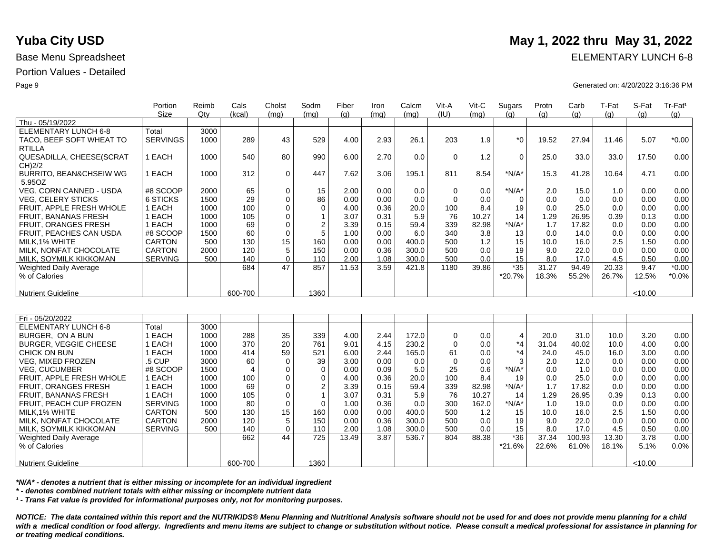|                                    | Portion         | Reimb | Cals    | Cholst      | Sodm     | Fiber | Iron | Calcm | Vit-A    | Vit-C | Sugars       | Protn | Carb  | T-Fat | S-Fat   | Tr-Fat <sup>1</sup> |
|------------------------------------|-----------------|-------|---------|-------------|----------|-------|------|-------|----------|-------|--------------|-------|-------|-------|---------|---------------------|
|                                    | Size            | Qtv   | (kcal)  | (mq)        | (mq)     | (q)   | (mq) | (mq)  | (IU)     | (mq)  | (g)          | (q)   | (q)   | (a)   | (q)     | (q)                 |
| Thu - 05/19/2022                   |                 |       |         |             |          |       |      |       |          |       |              |       |       |       |         |                     |
| ELEMENTARY LUNCH 6-8               | Total           | 3000  |         |             |          |       |      |       |          |       |              |       |       |       |         |                     |
| TACO, BEEF SOFT WHEAT TO           | <b>SERVINGS</b> | 1000  | 289     | 43          | 529      | 4.00  | 2.93 | 26.1  | 203      | 1.9   | $*$ $\Omega$ | 19.52 | 27.94 | 11.46 | 5.07    | $*0.00$             |
| <b>RTILLA</b>                      |                 |       |         |             |          |       |      |       |          |       |              |       |       |       |         |                     |
| QUESADILLA, CHEESE(SCRAT           | EACH            | 1000  | 540     | 80          | 990      | 6.00  | 2.70 | 0.0   | $\Omega$ | 1.2   | $\Omega$     | 25.0  | 33.0  | 33.0  | 17.50   | 0.00                |
| CH)2/2                             |                 |       |         |             |          |       |      |       |          |       |              |       |       |       |         |                     |
| <b>BURRITO, BEAN&amp;CHSEIW WG</b> | EACH            | 1000  | 312     | $\Omega$    | 447      | 7.62  | 3.06 | 195.1 | 811      | 8.54  | $*N/A*$      | 15.3  | 41.28 | 10.64 | 4.71    | 0.00                |
| 5.95OZ                             |                 |       |         |             |          |       |      |       |          |       |              |       |       |       |         |                     |
| VEG, CORN CANNED - USDA            | #8 SCOOP        | 2000  | 65      | $\mathbf 0$ | 15       | 2.00  | 0.00 | 0.0   | $\Omega$ | 0.0   | $*N/A*$      | 2.0   | 15.0  | 1.0   | 0.00    | 0.00                |
| <b>VEG, CELERY STICKS</b>          | 6 STICKS        | 1500  | 29      | 0           | 86       | 0.00  | 0.00 | 0.0   | $\Omega$ | 0.0   | $\Omega$     | 0.0   | 0.0   | 0.0   | 0.00    | 0.00                |
| FRUIT, APPLE FRESH WHOLE           | EACH            | 1000  | 100     |             | $\Omega$ | 4.00  | 0.36 | 20.0  | 100      | 8.4   | 19           | 0.0   | 25.0  | 0.0   | 0.00    | 0.00                |
| <b>FRUIT, BANANAS FRESH</b>        | EACH            | 1000  | 105     | 0           |          | 3.07  | 0.31 | 5.9   | 76       | 10.27 | 14           | 1.29  | 26.95 | 0.39  | 0.13    | 0.00                |
| FRUIT, ORANGES FRESH               | EACH            | 1000  | 69      | 0           | 2        | 3.39  | 0.15 | 59.4  | 339      | 82.98 | $*N/A*$      | 1.7   | 17.82 | 0.0   | 0.00    | 0.00                |
| FRUIT, PEACHES CAN USDA            | #8 SCOOP        | 1500  | 60      | $\Omega$    |          | 1.00  | 0.00 | 6.0   | 340      | 3.8   | 13           | 0.0   | 14.0  | 0.0   | 0.00    | 0.00                |
| MILK, 1% WHITE                     | <b>CARTON</b>   | 500   | 130     | 15          | 160      | 0.00  | 0.00 | 400.0 | 500      | 1.2   | 15           | 10.0  | 16.0  | 2.5   | 1.50    | 0.00                |
| MILK, NONFAT CHOCOLATE             | <b>CARTON</b>   | 2000  | 120     |             | 150      | 0.00  | 0.36 | 300.0 | 500      | 0.0   | 19           | 9.0   | 22.0  | 0.0   | 0.00    | 0.00                |
| MILK, SOYMILK KIKKOMAN             | <b>SERVING</b>  | 500   | 140     | 0           | 110      | 2.00  | 1.08 | 300.0 | 500      | 0.0   | 15           | 8.0   | 17.0  | 4.5   | 0.50    | 0.00                |
| <b>Weighted Daily Average</b>      |                 |       | 684     | 47          | 857      | 11.53 | 3.59 | 421.8 | 1180     | 39.86 | $*35$        | 31.27 | 94.49 | 20.33 | 9.47    | $*0.00$             |
| % of Calories                      |                 |       |         |             |          |       |      |       |          |       | $*20.7%$     | 18.3% | 55.2% | 26.7% | 12.5%   | $*0.0\%$            |
|                                    |                 |       |         |             |          |       |      |       |          |       |              |       |       |       |         |                     |
| <b>Nutrient Guideline</b>          |                 |       | 600-700 |             | 1360     |       |      |       |          |       |              |       |       |       | < 10.00 |                     |

| Fri - 05/20/2022              |                |      |         |             |          |       |      |       |             |       |          |       |        |       |         |         |
|-------------------------------|----------------|------|---------|-------------|----------|-------|------|-------|-------------|-------|----------|-------|--------|-------|---------|---------|
| <b>ELEMENTARY LUNCH 6-8</b>   | Total          | 3000 |         |             |          |       |      |       |             |       |          |       |        |       |         |         |
| BURGER, ON A BUN              | EACH           | 1000 | 288     | 35          | 339      | 4.00  | 2.44 | 172.0 | 0           | 0.0   | 4        | 20.0  | 31.0   | 10.0  | 3.20    | 0.00    |
| <b>BURGER, VEGGIE CHEESE</b>  | EACH           | 1000 | 370     | 20          | 761      | 9.01  | 4.15 | 230.2 | $\mathbf 0$ | 0.0   | $*_{4}$  | 31.04 | 40.02  | 10.0  | 4.00    | 0.00    |
| CHICK ON BUN                  | EACH           | 1000 | 414     | 59          | 521      | 6.00  | 2.44 | 165.0 | 61          | 0.0   | *4       | 24.0  | 45.0   | 16.0  | 3.00    | 0.00    |
| <b>VEG. MIXED FROZEN</b>      | .5 CUP         | 3000 | 60      | 0           | 39       | 3.00  | 0.00 | 0.0   | $\mathbf 0$ | 0.0   |          | 2.0   | 12.0   | 0.0   | 0.00    | 0.00    |
| <b>VEG. CUCUMBER</b>          | #8 SCOOP       | 1500 |         | 0           | $\Omega$ | 0.00  | 0.09 | 5.0   | 25          | 0.6   | $*N/A*$  | 0.0   | 1.0    | 0.0   | 0.00    | 0.00    |
| FRUIT. APPLE FRESH WHOLE      | EACH           | 1000 | 100     | $\mathbf 0$ |          | 4.00  | 0.36 | 20.0  | 100         | 8.4   | 19       | 0.0   | 25.0   | 0.0   | 0.00    | 0.00    |
| <b>FRUIT, ORANGES FRESH</b>   | EACH           | 1000 | 69      |             |          | 3.39  | 0.15 | 59.4  | 339         | 82.98 | *N/A*    |       | 17.82  | 0.0   | 0.00    | 0.00    |
| FRUIT, BANANAS FRESH          | EACH           | 1000 | 105     |             |          | 3.07  | 0.31 | 5.9   | 76          | 10.27 | 14       | 1.29  | 26.95  | 0.39  | 0.13    | 0.00    |
| FRUIT, PEACH CUP FROZEN       | <b>SERVING</b> | 1000 | 80      | $\mathbf 0$ |          | 1.00  | 0.36 | 0.0   | 300         | 162.0 | *N/A*    | 1.0   | 19.0   | 0.0   | 0.00    | 0.00    |
| MILK.1% WHITE                 | <b>CARTON</b>  | 500  | 130     | 15          | 160      | 0.00  | 0.00 | 400.0 | 500         | 1.2   | 15       | 10.0  | 16.0   | 2.5   | 1.50    | 0.00    |
| MILK, NONFAT CHOCOLATE        | <b>CARTON</b>  | 2000 | 120     | 5           | 150      | 0.00  | 0.36 | 300.0 | 500         | 0.0   | 19       | 9.0   | 22.0   | 0.0   | 0.00    | 0.00    |
| MILK. SOYMILK KIKKOMAN        | <b>SERVING</b> | 500  | 140     | $\mathbf 0$ | 110      | 2.00  | 1.08 | 300.0 | 500         | 0.0   | 15       | 8.0   | 17.0   | 4.5   | 0.50    | 0.00    |
| <b>Weighted Daily Average</b> |                |      | 662     | 44          | 725      | 13.49 | 3.87 | 536.7 | 804         | 88.38 | $*36$    | 37.34 | 100.93 | 13.30 | 3.78    | 0.00    |
| % of Calories                 |                |      |         |             |          |       |      |       |             |       | $*21.6%$ | 22.6% | 61.0%  | 18.1% | 5.1%    | $0.0\%$ |
|                               |                |      |         |             |          |       |      |       |             |       |          |       |        |       |         |         |
| <b>Nutrient Guideline</b>     |                |      | 600-700 |             | 1360     |       |      |       |             |       |          |       |        |       | < 10.00 |         |

*\*N/A\* - denotes a nutrient that is either missing or incomplete for an individual ingredient*

*\* - denotes combined nutrient totals with either missing or incomplete nutrient data*

*¹ - Trans Fat value is provided for informational purposes only, not for monitoring purposes.*

*NOTICE: The data contained within this report and the NUTRIKIDS® Menu Planning and Nutritional Analysis software should not be used for and does not provide menu planning for a child*  with a medical condition or food allergy. Ingredients and menu items are subject to change or substitution without notice. Please consult a medical professional for assistance in planning for *or treating medical conditions.*

## **Yuba City USD** May 1, 2022 thru May 31, 2022

Base Menu Spreadsheet **ELEMENTARY LUNCH 6-8** 

Page 9 Generated on: 4/20/2022 3:16:36 PM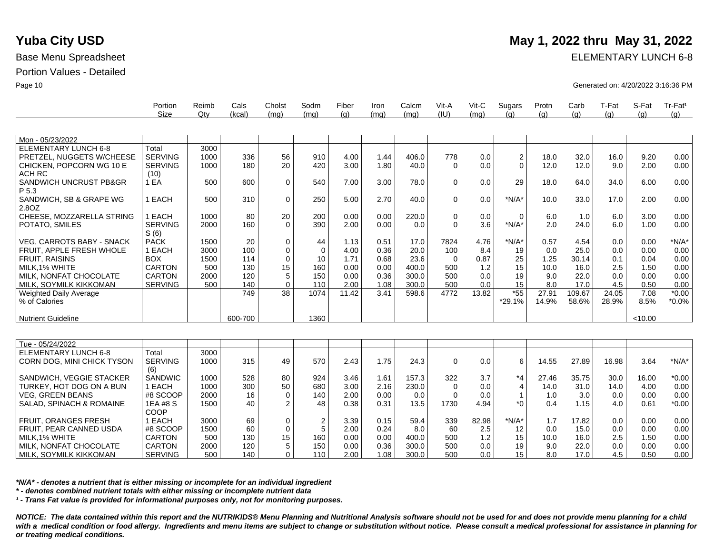MILK, NONFAT CHOCOLATE MILK, SOYMILK KIKKOMAN

|                               | Portion<br><b>Size</b> | Reimb<br>Qtv | Cals<br>(kcal) | Cholst<br>(mq)   | Sodm<br>(mq) | Fiber<br>(g) | Iron<br>(mq) | Calcm<br>(mq) | Vit-A<br>(IU) | $V$ it-C<br>(mq) | Sugars<br>(q)  | Protn<br>(g) | Carb<br>(g) | T-Fat<br>(q) | S-Fat<br>(g) | Tr-Fat <sup>1</sup><br>(g) |
|-------------------------------|------------------------|--------------|----------------|------------------|--------------|--------------|--------------|---------------|---------------|------------------|----------------|--------------|-------------|--------------|--------------|----------------------------|
|                               |                        |              |                |                  |              |              |              |               |               |                  |                |              |             |              |              |                            |
| Mon - 05/23/2022              |                        |              |                |                  |              |              |              |               |               |                  |                |              |             |              |              |                            |
| <b>ELEMENTARY LUNCH 6-8</b>   | Total                  | 3000         |                |                  |              |              |              |               |               |                  |                |              |             |              |              |                            |
| PRETZEL, NUGGETS W/CHEESE     | <b>SERVING</b>         | 1000         | 336            | 56               | 910          | 4.00         | 1.44         | 406.0         | 778           | 0.0              | $\overline{c}$ | 18.0         | 32.0        | 16.0         | 9.20         | 0.00                       |
| CHICKEN, POPCORN WG 10 E      | <b>SERVING</b>         | 1000         | 180            | 20               | 420          | 3.00         | 1.80         | 40.0          | $\Omega$      | 0.0              | $\Omega$       | 12.0         | 12.0        | 9.0          | 2.00         | 0.00                       |
| <b>ACH RC</b>                 | (10)                   |              |                |                  |              |              |              |               |               |                  |                |              |             |              |              |                            |
| SANDWICH UNCRUST PB&GR        | 1 EA                   | 500          | 600            | 0                | 540          | 7.00         | 3.00         | 78.0          | $\mathbf 0$   | 0.0              | 29             | 18.0         | 64.0        | 34.0         | 6.00         | 0.00                       |
| P 5.3                         |                        |              |                |                  |              |              |              |               |               |                  |                |              |             |              |              |                            |
| SANDWICH, SB & GRAPE WG       | 1 EACH                 | 500          | 310            | $\mathbf 0$      | 250          | 5.00         | 2.70         | 40.0          | $\Omega$      | 0.0              | $*N/A*$        | 10.0         | 33.0        | 17.0         | 2.00         | 0.00                       |
| 2.8OZ                         |                        |              |                |                  |              |              |              |               |               |                  |                |              |             |              |              |                            |
| CHEESE, MOZZARELLA STRING     | 1 EACH                 | 1000         | 80             | 20               | 200          | 0.00         | 0.00         | 220.0         | $\Omega$      | 0.0              | $\Omega$       | 6.0          | 1.0         | 6.0          | 3.00         | 0.00                       |
| POTATO, SMILES                | <b>SERVING</b>         | 2000         | 160            | $\Omega$         | 390          | 2.00         | 0.00         | 0.0           | $\Omega$      | 3.6              | $*N/A*$        | 2.0          | 24.0        | 6.0          | 1.00         | 0.00                       |
|                               | S(6)                   |              |                |                  |              |              |              |               |               |                  |                |              |             |              |              |                            |
| VEG, CARROTS BABY - SNACK     | <b>PACK</b>            | 1500         | 20             | 0                | 44           | 1.13         | 0.51         | 17.0          | 7824          | 4.76             | $*N/A*$        | 0.57         | 4.54        | 0.0          | 0.00         | $*N/A*$                    |
| FRUIT. APPLE FRESH WHOLE      | 1 EACH                 | 3000         | 100            | $\mathbf 0$      | $\mathbf 0$  | 4.00         | 0.36         | 20.0          | 100           | 8.4              | 19             | 0.0          | 25.0        | 0.0          | 0.00         | 0.00                       |
| <b>FRUIT, RAISINS</b>         | <b>BOX</b>             | 1500         | 114            | $\mathbf 0$      | 10           | 1.71         | 0.68         | 23.6          | $\Omega$      | 0.87             | 25             | 1.25         | 30.14       | 0.1          | 0.04         | 0.00                       |
| MILK, 1% WHITE                | <b>CARTON</b>          | 500          | 130            | 15               | 160          | 0.00         | 0.00         | 400.0         | 500           | 1.2              | 15             | 10.0         | 16.0        | 2.5          | 1.50         | 0.00                       |
| MILK, NONFAT CHOCOLATE        | <b>CARTON</b>          | 2000         | 120            | 5                | 150          | 0.00         | 0.36         | 300.0         | 500           | 0.0              | 19             | 9.0          | 22.0        | 0.0          | 0.00         | 0.00                       |
| MILK, SOYMILK KIKKOMAN        | <b>SERVING</b>         | 500          | 140            | $\boldsymbol{0}$ | 110          | 2.00         | 1.08         | 300.0         | 500           | 0.0              | 15             | 8.0          | 17.0        | 4.5          | 0.50         | 0.00                       |
| <b>Weighted Daily Average</b> |                        |              | 749            | 38               | 1074         | 11.42        | 3.41         | 598.6         | 4772          | 13.82            | $*55$          | 27.91        | 109.67      | 24.05        | 7.08         | $*0.00$                    |
| % of Calories                 |                        |              |                |                  |              |              |              |               |               |                  | $*29.1%$       | 14.9%        | 58.6%       | 28.9%        | 8.5%         | $*0.0\%$                   |
|                               |                        |              |                |                  |              |              |              |               |               |                  |                |              |             |              |              |                            |
| <b>Nutrient Guideline</b>     |                        |              | 600-700        |                  | 1360         |              |              |               |               |                  |                |              |             |              | < 10.00      |                            |
|                               |                        |              |                |                  |              |              |              |               |               |                  |                |              |             |              |              |                            |
| Tue - 05/24/2022              |                        |              |                |                  |              |              |              |               |               |                  |                |              |             |              |              |                            |
| <b>ELEMENTARY LUNCH 6-8</b>   | Total                  | 3000         |                |                  |              |              |              |               |               |                  |                |              |             |              |              |                            |
| CORN DOG, MINI CHICK TYSON    | <b>SERVING</b>         | 1000         | 315            | 49               | 570          | 2.43         | 1.75         | 24.3          | $\Omega$      | 0.0              | 6              | 14.55        | 27.89       | 16.98        | 3.64         | $*N/A*$                    |
|                               | (6)                    |              |                |                  |              |              |              |               |               |                  |                |              |             |              |              |                            |
| SANDWICH, VEGGIE STACKER      | <b>SANDWIC</b>         | 1000         | 528            | 80               | 924          | 3.46         | 1.61         | 157.3         | 322           | 3.7              | $*_{4}$        | 27.46        | 35.75       | 30.0         | 16.00        | $*0.00$                    |
| TURKEY, HOT DOG ON A BUN      | 1 EACH                 | 1000         | 300            | 50               | 680          | 3.00         | 2.16         | 230.0         | $\Omega$      | 0.0              | 4              | 14.0         | 31.0        | 14.0         | 4.00         | 0.00                       |
| <b>VEG, GREEN BEANS</b>       | #8 SCOOP               | 2000         | 16             | $\mathbf 0$      | 140          | 2.00         | 0.00         | 0.0           | $\Omega$      | 0.0              | 1              | 1.0          | 3.0         | 0.0          | 0.00         | 0.00                       |
| SALAD, SPINACH & ROMAINE      | 1EA #8 S               | 1500         | 40             | $\overline{2}$   | 48           | 0.38         | 0.31         | 13.5          | 1730          | 4.94             | $*$ 0          | 0.4          | 1.15        | 4.0          | 0.61         | $*0.00$                    |
|                               | COOP                   |              |                |                  |              |              |              |               |               |                  |                |              |             |              |              |                            |
| FRUIT, ORANGES FRESH          | 1 EACH                 | 3000         | 69             | $\mathbf 0$      | 2            | 3.39         | 0.15         | 59.4          | 339           | 82.98            | $*N/A*$        | 1.7          | 17.82       | 0.0          | 0.00         | 0.00                       |
| FRUIT, PEAR CANNED USDA       | #8 SCOOP               | 1500         | 60             | $\mathbf 0$      | 5            | 2.00         | 0.24         | 8.0           | 60            | 2.5              | 12             | 0.0          | 15.0        | 0.0          | 0.00         | 0.00                       |
| MILK.1% WHITE                 | <b>CARTON</b>          | 500          | 130            | 15               | 160          | 0.00         | 0.00         | 400.0         | 500           | 1.2              | 15             | 10.0         | 16.0        | 2.5          | 1.50         | 0.00                       |

*\*N/A\* - denotes a nutrient that is either missing or incomplete for an individual ingredient*

*\* - denotes combined nutrient totals with either missing or incomplete nutrient data*

CARTON SERVING

*¹ - Trans Fat value is provided for informational purposes only, not for monitoring purposes.*

2000 500

120 140 5  $\overline{0}$  150 110

*NOTICE: The data contained within this report and the NUTRIKIDS® Menu Planning and Nutritional Analysis software should not be used for and does not provide menu planning for a child*  with a medical condition or food allergy. Ingredients and menu items are subject to change or substitution without notice. Please consult a medical professional for assistance in planning for *or treating medical conditions.*

0.00 2.00 0.36 1.08

300.0 300.0 500 500 0.0 0.0 19 15 9.0 8.0 22.0 17.0 0.0 4.5 0.00 0.50

0.00 0.00 0.00

# **Yuba City USD** May 1, 2022 thru May 31, 2022

Base Menu Spreadsheet **ELEMENTARY LUNCH 6-8** 

Page 10 Generated on: 4/20/2022 3:16:36 PM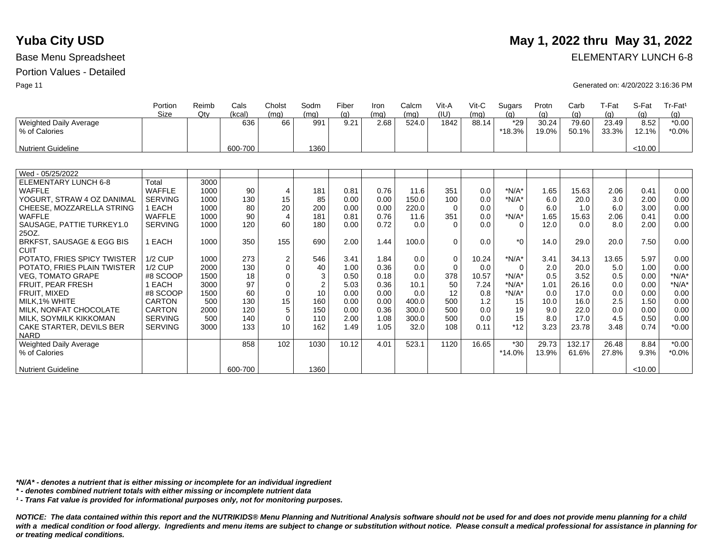## **Yuba City USD** May 1, 2022 thru May 31, 2022 Base Menu Spreadsheet **ELEMENTARY LUNCH 6-8**

Page 11 Generated on: 4/20/2022 3:16:36 PM

|                             | Portion        | Reimb | Cals    | Cholst           | Sodm           | Fiber       | Iron         | Calcm | Vit-A       | Vit-C | Sugars       | Protn | Carb         | T-Fat        | S-Fat       | Tr-Fat <sup>1</sup> |
|-----------------------------|----------------|-------|---------|------------------|----------------|-------------|--------------|-------|-------------|-------|--------------|-------|--------------|--------------|-------------|---------------------|
|                             | Size           | Qtv   | (kcal)  | (mq)<br>66       | (mq)<br>991    | (q)<br>9.21 | (mq)<br>2.68 | (mq)  | (IU)        | (ma)  | (a)<br>$*29$ | (q)   | (q)<br>79.60 | (q)<br>23.49 | (q)<br>8.52 | (g)                 |
| Weighted Daily Average      |                |       | 636     |                  |                |             |              | 524.0 | 1842        | 88.14 |              | 30.24 |              |              |             | $*0.00$             |
| % of Calories               |                |       |         |                  |                |             |              |       |             |       | *18.3%       | 19.0% | 50.1%        | 33.3%        | 12.1%       | $*0.0\%$            |
| <b>Nutrient Guideline</b>   |                |       | 600-700 |                  | 1360           |             |              |       |             |       |              |       |              |              | < 10.00     |                     |
|                             |                |       |         |                  |                |             |              |       |             |       |              |       |              |              |             |                     |
| Wed - 05/25/2022            |                |       |         |                  |                |             |              |       |             |       |              |       |              |              |             |                     |
| <b>ELEMENTARY LUNCH 6-8</b> | Total          | 3000  |         |                  |                |             |              |       |             |       |              |       |              |              |             |                     |
| <b>WAFFLE</b>               | <b>WAFFLE</b>  | 1000  | 90      | $\overline{4}$   | 181            | 0.81        | 0.76         | 11.6  | 351         | 0.0   | $*N/A*$      | 1.65  | 15.63        | 2.06         | 0.41        | 0.00                |
| YOGURT, STRAW 4 OZ DANIMAL  | <b>SERVING</b> | 1000  | 130     | 15               | 85             | 0.00        | 0.00         | 150.0 | 100         | 0.0   | $*N/A*$      | 6.0   | 20.0         | 3.0          | 2.00        | 0.00                |
| CHEESE, MOZZARELLA STRING   | 1 EACH         | 1000  | 80      | 20               | 200            | 0.00        | 0.00         | 220.0 | $\Omega$    | 0.0   | 0            | 6.0   | 1.0          | 6.0          | 3.00        | 0.00                |
| <b>WAFFLE</b>               | <b>WAFFLE</b>  | 1000  | 90      | $\overline{4}$   | 181            | 0.81        | 0.76         | 11.6  | 351         | 0.0   | $*N/A*$      | 1.65  | 15.63        | 2.06         | 0.41        | 0.00                |
| SAUSAGE, PATTIE TURKEY1.0   | <b>SERVING</b> | 1000  | 120     | 60               | 180            | 0.00        | 0.72         | 0.0   | $\Omega$    | 0.0   | $\Omega$     | 12.0  | 0.0          | 8.0          | 2.00        | 0.00                |
| 25OZ.                       |                |       |         |                  |                |             |              |       |             |       |              |       |              |              |             |                     |
| BRKFST, SAUSAGE & EGG BIS   | 1 EACH         | 1000  | 350     | 155              | 690            | 2.00        | 1.44         | 100.0 | $\Omega$    | 0.0   | $*0$         | 14.0  | 29.0         | 20.0         | 7.50        | 0.00                |
| <b>CUIT</b>                 |                |       |         |                  |                |             |              |       |             |       |              |       |              |              |             |                     |
| POTATO, FRIES SPICY TWISTER | <b>1/2 CUP</b> | 1000  | 273     | $\boldsymbol{2}$ | 546            | 3.41        | 1.84         | 0.0   | $\mathbf 0$ | 10.24 | $*N/A*$      | 3.41  | 34.13        | 13.65        | 5.97        | 0.00                |
| POTATO, FRIES PLAIN TWISTER | <b>1/2 CUP</b> | 2000  | 130     | $\mathbf 0$      | 40             | 1.00        | 0.36         | 0.0   | $\Omega$    | 0.0   | $\Omega$     | 2.0   | 20.0         | 5.0          | 1.00        | 0.00                |
| <b>VEG. TOMATO GRAPE</b>    | #8 SCOOP       | 1500  | 18      | $\mathbf 0$      | 3              | 0.50        | 0.18         | 0.0   | 378         | 10.57 | $*N/A*$      | 0.5   | 3.52         | 0.5          | 0.00        | $*N/A*$             |
| FRUIT, PEAR FRESH           | 1 EACH         | 3000  | 97      | $\mathbf 0$      | $\overline{2}$ | 5.03        | 0.36         | 10.1  | 50          | 7.24  | $*N/A*$      | 1.01  | 26.16        | 0.0          | 0.00        | $*N/A*$             |
| FRUIT. MIXED                | #8 SCOOP       | 1500  | 60      | $\mathbf 0$      | 10             | 0.00        | 0.00         | 0.0   | 12          | 0.8   | $*N/A*$      | 0.0   | 17.0         | 0.0          | 0.00        | 0.00                |
| MILK.1% WHITE               | <b>CARTON</b>  | 500   | 130     | 15               | 160            | 0.00        | 0.00         | 400.0 | 500         | 1.2   | 15           | 10.0  | 16.0         | 2.5          | 1.50        | 0.00                |
| MILK. NONFAT CHOCOLATE      | <b>CARTON</b>  | 2000  | 120     | 5                | 150            | 0.00        | 0.36         | 300.0 | 500         | 0.0   | 19           | 9.0   | 22.0         | 0.0          | 0.00        | 0.00                |
| MILK, SOYMILK KIKKOMAN      | <b>SERVING</b> | 500   | 140     | $\mathbf 0$      | 110            | 2.00        | 1.08         | 300.0 | 500         | 0.0   | 15           | 8.0   | 17.0         | 4.5          | 0.50        | 0.00                |
| CAKE STARTER, DEVILS BER    | <b>SERVING</b> | 3000  | 133     | 10               | 162            | 1.49        | 1.05         | 32.0  | 108         | 0.11  | $*12$        | 3.23  | 23.78        | 3.48         | 0.74        | $*0.00$             |
| <b>NARD</b>                 |                |       |         |                  |                |             |              |       |             |       |              |       |              |              |             |                     |
| Weighted Daily Average      |                |       | 858     | 102              | 1030           | 10.12       | 4.01         | 523.1 | 1120        | 16.65 | $*30$        | 29.73 | 132.17       | 26.48        | 8.84        | $*0.00$             |
| % of Calories               |                |       |         |                  |                |             |              |       |             |       | *14.0%       | 13.9% | 61.6%        | 27.8%        | 9.3%        | $*0.0\%$            |
|                             |                |       |         |                  |                |             |              |       |             |       |              |       |              |              |             |                     |
| <b>Nutrient Guideline</b>   |                |       | 600-700 |                  | 1360           |             |              |       |             |       |              |       |              |              | < 10.00     |                     |

*\*N/A\* - denotes a nutrient that is either missing or incomplete for an individual ingredient*

*\* - denotes combined nutrient totals with either missing or incomplete nutrient data*

*¹ - Trans Fat value is provided for informational purposes only, not for monitoring purposes.*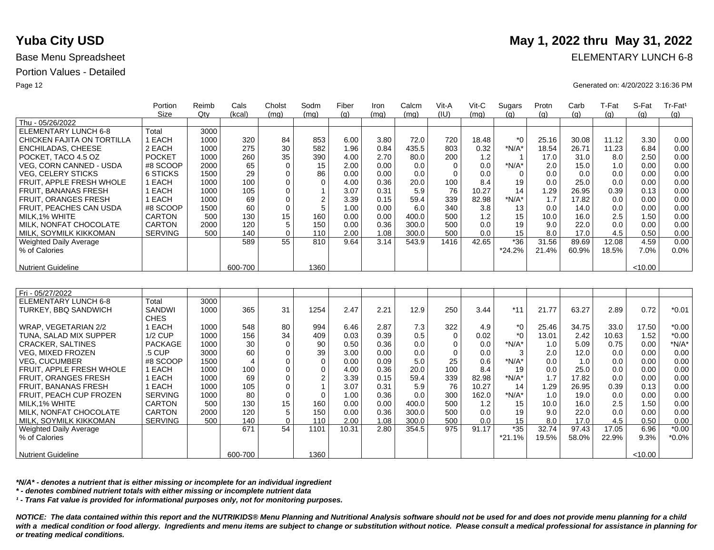|                               | Portion         | Reimb | Cals           | Cholst      | Sodm                    | Fiber | Iron | Calcm | Vit-A       | Vit-C | Sugars   | Protn | Carb  | T-Fat | S-Fat   | Tr-Fat <sup>1</sup> |
|-------------------------------|-----------------|-------|----------------|-------------|-------------------------|-------|------|-------|-------------|-------|----------|-------|-------|-------|---------|---------------------|
|                               | Size            | Qtv   | (kcal)         | (mq)        | (mq)                    | (q)   | (ma) | (mq)  | (IU)        | (ma)  | (q)      | (q)   | (q)   | (g)   | (q)     | (g)                 |
| Thu - 05/26/2022              |                 |       |                |             |                         |       |      |       |             |       |          |       |       |       |         |                     |
| <b>ELEMENTARY LUNCH 6-8</b>   | Total           | 3000  |                |             |                         |       |      |       |             |       |          |       |       |       |         |                     |
| CHICKEN FAJITA ON TORTILLA    | 1 EACH          | 1000  | 320            | 84          | 853                     | 6.00  | 3.80 | 72.0  | 720         | 18.48 | $*$ 0    | 25.16 | 30.08 | 11.12 | 3.30    | 0.00                |
| <b>ENCHILADAS, CHEESE</b>     | 2 EACH          | 1000  | 275            | 30          | 582                     | 1.96  | 0.84 | 435.5 | 803         | 0.32  | $*N/A*$  | 18.54 | 26.71 | 11.23 | 6.84    | 0.00                |
| POCKET, TACO 4.5 OZ           | <b>POCKET</b>   | 1000  | 260            | 35          | 390                     | 4.00  | 2.70 | 80.0  | 200         | 1.2   | -1       | 17.0  | 31.0  | 8.0   | 2.50    | 0.00                |
| VEG, CORN CANNED - USDA       | #8 SCOOP        | 2000  | 65             | $\Omega$    | 15                      | 2.00  | 0.00 | 0.0   | $\Omega$    | 0.0   | $*N/A*$  | 2.0   | 15.0  | 1.0   | 0.00    | 0.00                |
| <b>VEG. CELERY STICKS</b>     | <b>6 STICKS</b> | 1500  | 29             | $\mathbf 0$ | 86                      | 0.00  | 0.00 | 0.0   | $\mathbf 0$ | 0.0   | $\Omega$ | 0.0   | 0.0   | 0.0   | 0.00    | 0.00                |
| FRUIT, APPLE FRESH WHOLE      | 1 EACH          | 1000  | 100            | $\mathbf 0$ | $\mathbf 0$             | 4.00  | 0.36 | 20.0  | 100         | 8.4   | 19       | 0.0   | 25.0  | 0.0   | 0.00    | 0.00                |
| <b>FRUIT, BANANAS FRESH</b>   | 1 EACH          | 1000  | 105            | $\mathbf 0$ | $\overline{\mathbf{1}}$ | 3.07  | 0.31 | 5.9   | 76          | 10.27 | 14       | 1.29  | 26.95 | 0.39  | 0.13    | 0.00                |
| <b>FRUIT, ORANGES FRESH</b>   | 1 EACH          | 1000  | 69             | $\mathbf 0$ | $\overline{2}$          | 3.39  | 0.15 | 59.4  | 339         | 82.98 | $*N/A*$  | 1.7   | 17.82 | 0.0   | 0.00    | 0.00                |
| FRUIT, PEACHES CAN USDA       | #8 SCOOP        | 1500  | 60             | $\mathbf 0$ | 5                       | 1.00  | 0.00 | 6.0   | 340         | 3.8   | 13       | 0.0   | 14.0  | 0.0   | 0.00    | 0.00                |
| MILK, 1% WHITE                | <b>CARTON</b>   | 500   | 130            | 15          | 160                     | 0.00  | 0.00 | 400.0 | 500         | 1.2   | 15       | 10.0  | 16.0  | 2.5   | 1.50    | 0.00                |
| MILK, NONFAT CHOCOLATE        | <b>CARTON</b>   | 2000  | 120            | 5           | 150                     | 0.00  | 0.36 | 300.0 | 500         | 0.0   | 19       | 9.0   | 22.0  | 0.0   | 0.00    | 0.00                |
| MILK, SOYMILK KIKKOMAN        | <b>SERVING</b>  | 500   | 140            | $\Omega$    | 110                     | 2.00  | 1.08 | 300.0 | 500         | 0.0   | 15       | 8.0   | 17.0  | 4.5   | 0.50    | 0.00                |
| Weighted Daily Average        |                 |       | 589            | 55          | 810                     | 9.64  | 3.14 | 543.9 | 1416        | 42.65 | $*36$    | 31.56 | 89.69 | 12.08 | 4.59    | 0.00                |
| % of Calories                 |                 |       |                |             |                         |       |      |       |             |       | $*24.2%$ | 21.4% | 60.9% | 18.5% | 7.0%    | 0.0%                |
|                               |                 |       |                |             |                         |       |      |       |             |       |          |       |       |       |         |                     |
| <b>Nutrient Guideline</b>     |                 |       | 600-700        |             | 1360                    |       |      |       |             |       |          |       |       |       | < 10.00 |                     |
|                               |                 |       |                |             |                         |       |      |       |             |       |          |       |       |       |         |                     |
|                               |                 |       |                |             |                         |       |      |       |             |       |          |       |       |       |         |                     |
| Fri - 05/27/2022              |                 |       |                |             |                         |       |      |       |             |       |          |       |       |       |         |                     |
| <b>ELEMENTARY LUNCH 6-8</b>   | Total           | 3000  |                |             |                         |       |      |       |             |       |          |       |       |       |         |                     |
| <b>TURKEY, BBQ SANDWICH</b>   | <b>SANDWI</b>   | 1000  | 365            | 31          | 1254                    | 2.47  | 2.21 | 12.9  | 250         | 3.44  | $*11$    | 21.77 | 63.27 | 2.89  | 0.72    | $*0.01$             |
|                               | <b>CHES</b>     |       |                |             |                         |       |      |       |             |       |          |       |       |       |         |                     |
| WRAP. VEGETARIAN 2/2          | 1 EACH          | 1000  | 548            | 80          | 994                     | 6.46  | 2.87 | 7.3   | 322         | 4.9   | $*_{0}$  | 25.46 | 34.75 | 33.0  | 17.50   | $*0.00$             |
| TUNA, SALAD MIX SUPPER        | <b>1/2 CUP</b>  | 1000  | 156            | 34          | 409                     | 0.03  | 0.39 | 0.5   | $\mathbf 0$ | 0.02  | $*$ 0    | 13.01 | 2.42  | 10.63 | 1.52    | $*0.00$             |
| <b>CRACKER, SALTINES</b>      | <b>PACKAGE</b>  | 1000  | 30             | $\mathbf 0$ | 90                      | 0.50  | 0.36 | 0.0   | $\mathbf 0$ | 0.0   | $*N/A*$  | 1.0   | 5.09  | 0.75  | 0.00    | $*N/A*$             |
| <b>VEG. MIXED FROZEN</b>      | .5 CUP          | 3000  | 60             | $\Omega$    | 39                      | 3.00  | 0.00 | 0.0   | $\Omega$    | 0.0   | 3        | 2.0   | 12.0  | 0.0   | 0.00    | 0.00                |
| <b>VEG, CUCUMBER</b>          | #8 SCOOP        | 1500  | $\overline{4}$ | $\Omega$    | 0                       | 0.00  | 0.09 | 5.0   | 25          | 0.6   | $*N/A*$  | 0.0   | 1.0   | 0.0   | 0.00    | 0.00                |
| FRUIT. APPLE FRESH WHOLE      | 1 EACH          | 1000  | 100            | $\mathbf 0$ | $\mathbf 0$             | 4.00  | 0.36 | 20.0  | 100         | 8.4   | 19       | 0.0   | 25.0  | 0.0   | 0.00    | 0.00                |
| <b>FRUIT, ORANGES FRESH</b>   | 1 EACH          | 1000  | 69             | $\Omega$    | 2                       | 3.39  | 0.15 | 59.4  | 339         | 82.98 | $*N/A*$  | 1.7   | 17.82 | 0.0   | 0.00    | 0.00                |
| <b>FRUIT, BANANAS FRESH</b>   | 1 EACH          | 1000  | 105            | 0           | $\overline{1}$          | 3.07  | 0.31 | 5.9   | 76          | 10.27 | 14       | 1.29  | 26.95 | 0.39  | 0.13    | 0.00                |
| FRUIT, PEACH CUP FROZEN       | <b>SERVING</b>  | 1000  | 80             | $\mathbf 0$ | $\Omega$                | 1.00  | 0.36 | 0.0   | 300         | 162.0 | $*N/A*$  | 1.0   | 19.0  | 0.0   | 0.00    | 0.00                |
| MILK.1% WHITE                 | <b>CARTON</b>   | 500   | 130            | 15          | 160                     | 0.00  | 0.00 | 400.0 | 500         | 1.2   | 15       | 10.0  | 16.0  | 2.5   | 1.50    | 0.00                |
| MILK, NONFAT CHOCOLATE        | <b>CARTON</b>   | 2000  | 120            | 5           | 150                     | 0.00  | 0.36 | 300.0 | 500         | 0.0   | 19       | 9.0   | 22.0  | 0.0   | 0.00    | 0.00                |
| MILK, SOYMILK KIKKOMAN        | <b>SERVING</b>  | 500   | 140            | $\Omega$    | 110                     | 2.00  | 1.08 | 300.0 | 500         | 0.0   | 15       | 8.0   | 17.0  | 4.5   | 0.50    | 0.00                |
| <b>Weighted Daily Average</b> |                 |       | 671            | 54          | 1101                    | 10.31 | 2.80 | 354.5 | 975         | 91.17 | $*35$    | 32.74 | 97.43 | 17.05 | 6.96    | $*0.00$             |
| % of Calories                 |                 |       |                |             |                         |       |      |       |             |       | $*21.1%$ | 19.5% | 58.0% | 22.9% | 9.3%    | $*0.0\%$            |
|                               |                 |       |                |             |                         |       |      |       |             |       |          |       |       |       |         |                     |
| Nutrient Guideline            |                 |       | 600-700        |             | 1360                    |       |      |       |             |       |          |       |       |       | <10.00  |                     |

*\*N/A\* - denotes a nutrient that is either missing or incomplete for an individual ingredient*

*\* - denotes combined nutrient totals with either missing or incomplete nutrient data*

*¹ - Trans Fat value is provided for informational purposes only, not for monitoring purposes.*

*NOTICE: The data contained within this report and the NUTRIKIDS® Menu Planning and Nutritional Analysis software should not be used for and does not provide menu planning for a child*  with a medical condition or food allergy. Ingredients and menu items are subject to change or substitution without notice. Please consult a medical professional for assistance in planning for *or treating medical conditions.*

## **Yuba City USD** May 1, 2022 thru May 31, 2022

Base Menu Spreadsheet **ELEMENTARY LUNCH 6-8** 

Page 12 Generated on: 4/20/2022 3:16:36 PM